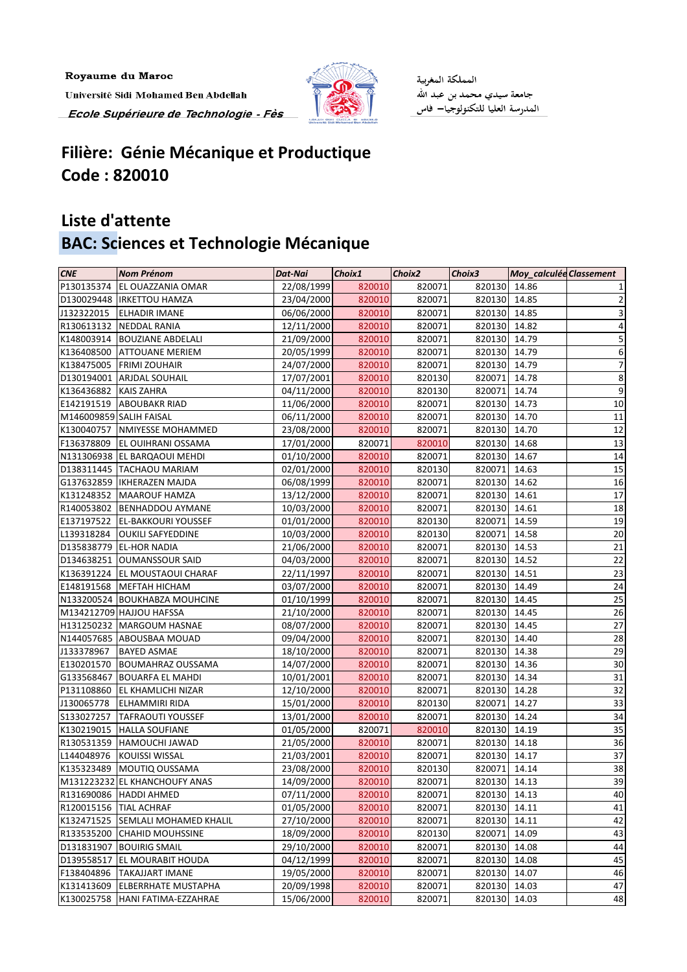Royaume du Maroc Université Sidi Mohamed Ben Abdellah Ecole Supérieure de Technologie - Fès



المملكة المغربية 

## **Filière: Génie Mécanique et Productique Code : 820010**

## **Liste d'attente BAC: Sciences et Technologie Mécanique**

| <b>CNE</b>              | <b>Nom Prénom</b>              | <b>Dat-Nai</b> | Choix1 | Choix2 | Choix3       | <b>Moy_calculée Classement</b> |                 |
|-------------------------|--------------------------------|----------------|--------|--------|--------------|--------------------------------|-----------------|
| P130135374              | <b>EL OUAZZANIA OMAR</b>       | 22/08/1999     | 820010 | 820071 | 820130       | 14.86                          |                 |
|                         | D130029448  IRKETTOU HAMZA     | 23/04/2000     | 820010 | 820071 | 820130 14.85 |                                | $\overline{2}$  |
| J132322015              | <b>ELHADIR IMANE</b>           | 06/06/2000     | 820010 | 820071 | 820130       | 14.85                          | 3               |
|                         | R130613132 NEDDAL RANIA        | 12/11/2000     | 820010 | 820071 | 820130       | 14.82                          | 4               |
|                         | K148003914  BOUZIANE ABDELALI  | 21/09/2000     | 820010 | 820071 | 820130       | 14.79                          | 5               |
| K136408500              | <b>ATTOUANE MERIEM</b>         | 20/05/1999     | 820010 | 820071 | 820130 14.79 |                                | 6               |
| K138475005              | <b>FRIMI ZOUHAIR</b>           | 24/07/2000     | 820010 | 820071 | 820130       | 14.79                          | $\overline{7}$  |
|                         | D130194001 ARJDAL SOUHAIL      | 17/07/2001     | 820010 | 820130 | 820071       | 14.78                          | 8               |
| K136436882 KAIS ZAHRA   |                                | 04/11/2000     | 820010 | 820130 | 820071       | 14.74                          | 9               |
|                         | E142191519 ABOUBAKR RIAD       | 11/06/2000     | 820010 | 820071 | 820130 14.73 |                                | $10\,$          |
| M146009859 SALIH FAISAL |                                | 06/11/2000     | 820010 | 820071 | 820130 14.70 |                                | 11              |
|                         | K130040757   NMIYESSE MOHAMMED | 23/08/2000     | 820010 | 820071 | 820130       | 14.70                          | 12              |
| F136378809              | <b>EL OUIHRANI OSSAMA</b>      | 17/01/2000     | 820071 | 820010 | 820130       | 14.68                          | 13              |
|                         | N131306938 EL BARQAOUI MEHDI   | 01/10/2000     | 820010 | 820071 | 820130       | 14.67                          | 14              |
|                         | D138311445   TACHAOU MARIAM    | 02/01/2000     | 820010 | 820130 | 820071       | 14.63                          | $15\,$          |
|                         | G137632859   IKHERAZEN MAJDA   | 06/08/1999     | 820010 | 820071 | 820130       | 14.62                          | 16              |
|                         | K131248352   MAAROUF HAMZA     | 13/12/2000     | 820010 | 820071 | 820130       | 14.61                          | 17              |
|                         | R140053802 BENHADDOU AYMANE    | 10/03/2000     | 820010 | 820071 | 820130       | 14.61                          | 18              |
|                         | E137197522 EL-BAKKOURI YOUSSEF | 01/01/2000     | 820010 | 820130 | 820071 14.59 |                                | 19              |
| L139318284              | <b>OUKILI SAFYEDDINE</b>       | 10/03/2000     | 820010 | 820130 | 820071       | 14.58                          | 20              |
| D135838779              | <b>EL-HOR NADIA</b>            | 21/06/2000     | 820010 | 820071 | 820130 14.53 |                                | 21              |
|                         | D134638251 OUMANSSOUR SAID     | 04/03/2000     | 820010 | 820071 | 820130       | 14.52                          | 22              |
| K136391224              | <b>EL MOUSTAOUI CHARAF</b>     | 22/11/1997     | 820010 | 820071 | 820130       | 14.51                          | 23              |
| E148191568              | <b>MEFTAH HICHAM</b>           | 03/07/2000     | 820010 | 820071 | 820130       | 14.49                          | 24              |
|                         | N133200524 BOUKHABZA MOUHCINE  | 01/10/1999     | 820010 | 820071 | 820130       | 14.45                          | $\overline{25}$ |
|                         | M134212709 HAJJOU HAFSSA       | 21/10/2000     | 820010 | 820071 | 820130       | 14.45                          | 26              |
|                         | H131250232 MARGOUM HASNAE      | 08/07/2000     | 820010 | 820071 | 820130       | 14.45                          | 27              |
|                         | N144057685 ABOUSBAA MOUAD      | 09/04/2000     | 820010 | 820071 | 820130       | 14.40                          | 28              |
| J133378967              | <b>BAYED ASMAE</b>             | 18/10/2000     | 820010 | 820071 | 820130       | 14.38                          | 29              |
| E130201570              | <b>BOUMAHRAZ OUSSAMA</b>       | 14/07/2000     | 820010 | 820071 | 820130 14.36 |                                | 30              |
|                         | G133568467 BOUARFA EL MAHDI    | 10/01/2001     | 820010 | 820071 | 820130 14.34 |                                | 31              |
| P131108860              | <b>EL KHAMLICHI NIZAR</b>      | 12/10/2000     | 820010 | 820071 | 820130       | 14.28                          | 32              |
| J130065778              | <b>ELHAMMIRI RIDA</b>          | 15/01/2000     | 820010 | 820130 | 820071       | 14.27                          | 33              |
| S133027257              | <b>TAFRAOUTI YOUSSEF</b>       | 13/01/2000     | 820010 | 820071 | 820130       | 14.24                          | 34              |
| K130219015              | <b>HALLA SOUFIANE</b>          | 01/05/2000     | 820071 | 820010 | 820130       | 14.19                          | 35              |
| R130531359              | <b>HAMOUCHI JAWAD</b>          | 21/05/2000     | 820010 | 820071 | 820130       | 14.18                          | 36              |
| L144048976              | <b>KOUISSI WISSAL</b>          | 21/03/2001     | 820010 | 820071 | 820130       | 14.17                          | 37              |
| K135323489              | <b>MOUTIQ OUSSAMA</b>          | 23/08/2000     | 820010 | 820130 | 820071       | 14.14                          | 38              |
|                         | M131223232 EL KHANCHOUFY ANAS  | 14/09/2000     | 820010 | 820071 | 820130       | 14.13                          | 39              |
|                         | R131690086 HADDI AHMED         | 07/11/2000     | 820010 | 820071 | 820130       | 14.13                          | 40              |
| R120015156              | <b>TIAL ACHRAF</b>             | 01/05/2000     | 820010 | 820071 | 820130       | 14.11                          | 41              |
| K132471525              | <b>SEMLALI MOHAMED KHALIL</b>  | 27/10/2000     | 820010 | 820071 | 820130       | 14.11                          | 42              |
| R133535200              | <b>CHAHID MOUHSSINE</b>        | 18/09/2000     | 820010 | 820130 | 820071       | 14.09                          | 43              |
| D131831907              | <b>BOUIRIG SMAIL</b>           | 29/10/2000     | 820010 | 820071 | 820130       | 14.08                          | 44              |
| D139558517              | <b>EL MOURABIT HOUDA</b>       | 04/12/1999     | 820010 | 820071 | 820130       | 14.08                          | 45              |
| F138404896              | <b>TAKAJJART IMANE</b>         | 19/05/2000     | 820010 | 820071 | 820130       | 14.07                          | 46              |
| K131413609              | <b>ELBERRHATE MUSTAPHA</b>     | 20/09/1998     | 820010 | 820071 | 820130       | 14.03                          | 47              |
| K130025758              | HANI FATIMA-EZZAHRAE           | 15/06/2000     | 820010 | 820071 | 820130       | 14.03                          | 48              |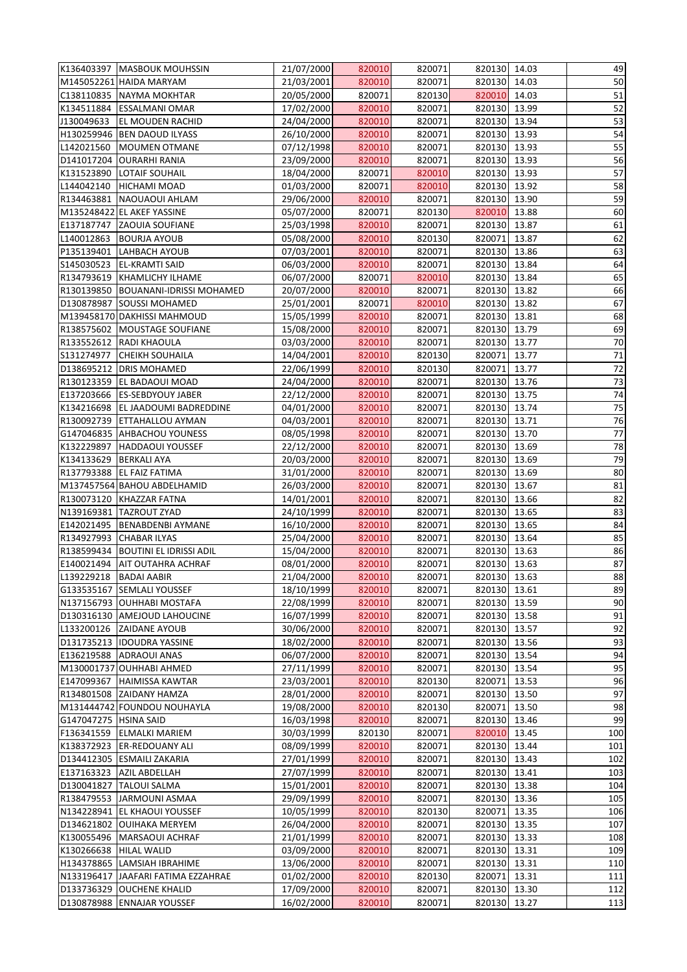|                        | K136403397   MASBOUK MOUHSSIN                 | 21/07/2000               | 820010           | 820071           | 820130 14.03                 |       | 49       |
|------------------------|-----------------------------------------------|--------------------------|------------------|------------------|------------------------------|-------|----------|
|                        | M145052261 HAIDA MARYAM                       | 21/03/2001               | 820010           | 820071           | 820130 14.03                 |       | 50       |
|                        | C138110835 NAYMA MOKHTAR                      | 20/05/2000               | 820071           | 820130           | 820010                       | 14.03 | 51       |
| K134511884             | <b>ESSALMANI OMAR</b>                         | 17/02/2000               | 820010           | 820071           | 820130 13.99                 |       | 52       |
| J130049633             | <b>EL MOUDEN RACHID</b>                       | 24/04/2000               | 820010           | 820071           | 820130 13.94                 |       | 53       |
|                        | H130259946 BEN DAOUD ILYASS                   | 26/10/2000               | 820010           | 820071           | 820130 13.93                 |       | 54       |
| L142021560             | MOUMEN OTMANE                                 | 07/12/1998               | 820010           | 820071           | 820130 13.93                 |       | 55       |
| D141017204             | <b>OURARHI RANIA</b>                          | 23/09/2000               | 820010           | 820071           | 820130                       | 13.93 | 56       |
| K131523890             | <b>LOTAIF SOUHAIL</b>                         | 18/04/2000               | 820071           | 820010           | 820130 13.93                 |       | 57       |
| L144042140             | <b>HICHAMI MOAD</b>                           | 01/03/2000               | 820071           | 820010           | 820130 13.92                 |       | 58       |
| R134463881             | NAOUAOUI AHLAM                                | 29/06/2000               | 820010           | 820071           | 820130                       | 13.90 | 59       |
|                        | M135248422 EL AKEF YASSINE                    | 05/07/2000               | 820071           | 820130           | 820010                       | 13.88 | 60       |
| E137187747             | <b>ZAOUIA SOUFIANE</b>                        | 25/03/1998               | 820010           | 820071           | 820130 13.87                 |       | 61       |
| L140012863             | <b>BOURJA AYOUB</b>                           | 05/08/2000               | 820010           | 820130           | 820071                       | 13.87 | 62       |
| P135139401             | <b>LAHBACH AYOUB</b>                          | 07/03/2001               | 820010           | 820071           | 820130 13.86                 |       | 63       |
| S145030523             | <b>EL-KRAMTI SAID</b>                         | 06/03/2000               | 820010           | 820071           | 820130                       | 13.84 | 64       |
| R134793619             | KHAMLICHY ILHAME                              | 06/07/2000               | 820071           | 820010           | 820130 13.84                 |       | 65       |
| R130139850             | <b>BOUANANI-IDRISSI MOHAMED</b>               | 20/07/2000               | 820010           | 820071           | 820130 13.82                 |       | 66       |
| D130878987             | <b>SOUSSI MOHAMED</b>                         | 25/01/2001               | 820071           | 820010           | 820130 13.82                 |       | 67       |
|                        | M139458170 DAKHISSI MAHMOUD                   | 15/05/1999               | 820010           | 820071           | 820130 13.81                 |       | 68       |
|                        | R138575602 MOUSTAGE SOUFIANE                  | 15/08/2000               | 820010           | 820071           | 820130 13.79                 |       | 69       |
|                        | R133552612 RADI KHAOULA                       | 03/03/2000               | 820010           | 820071           | 820130 13.77                 |       | 70       |
| S131274977             | <b>CHEIKH SOUHAILA</b>                        | 14/04/2001               | 820010           | 820130           | 820071 13.77                 |       | 71       |
| D138695212             | <b>DRIS MOHAMED</b>                           | 22/06/1999               | 820010           | 820130           | 820071                       | 13.77 | 72       |
| R130123359             | <b>EL BADAOUI MOAD</b>                        | 24/04/2000               | 820010           | 820071           | 820130 13.76                 |       | 73       |
| E137203666             | <b>ES-SEBDYOUY JABER</b>                      | 22/12/2000               | 820010           | 820071           | 820130 13.75                 |       | 74       |
| K134216698             | <b>EL JAADOUMI BADREDDINE</b>                 | 04/01/2000               | 820010           | 820071           | 820130 13.74                 |       | 75       |
| R130092739             | <b>ETTAHALLOU AYMAN</b>                       | 04/03/2001               | 820010           | 820071           | 820130                       | 13.71 | 76       |
|                        | G147046835 AHBACHOU YOUNESS                   | 08/05/1998               | 820010           | 820071           | 820130                       | 13.70 | 77       |
| K132229897             | <b>HADDAOUI YOUSSEF</b><br><b>BERKALI AYA</b> | 22/12/2000<br>20/03/2000 | 820010           | 820071           | 820130 13.69<br>820130 13.69 |       | 78<br>79 |
| K134133629             | R137793388 EL FAIZ FATIMA                     | 31/01/2000               | 820010<br>820010 | 820071<br>820071 | 820130 13.69                 |       | 80       |
|                        | M137457564 BAHOU ABDELHAMID                   | 26/03/2000               | 820010           | 820071           | 820130 13.67                 |       | 81       |
| R130073120             | KHAZZAR FATNA                                 | 14/01/2001               | 820010           | 820071           | 820130 13.66                 |       | 82       |
|                        | N139169381 TAZROUT ZYAD                       | 24/10/1999               | 820010           | 820071           | 820130 13.65                 |       | 83       |
|                        | E142021495   BENABDENBI AYMANE                | 16/10/2000               | 820010           | 820071           | 820130 13.65                 |       | 84       |
| R134927993             | <b>CHABAR ILYAS</b>                           | 25/04/2000               | 820010           | 820071           | 820130                       | 13.64 | 85       |
| R138599434             | <b>BOUTINI EL IDRISSI ADIL</b>                | 15/04/2000               | 820010           | 820071           | 820130 13.63                 |       | 86       |
| E140021494             | <b>AIT OUTAHRA ACHRAF</b>                     | 08/01/2000               | 820010           | 820071           | 820130 13.63                 |       | 87       |
| L139229218             | <b>BADAI AABIR</b>                            | 21/04/2000               | 820010           | 820071           | 820130                       | 13.63 | 88       |
|                        | G133535167 SEMLALI YOUSSEF                    | 18/10/1999               | 820010           | 820071           | 820130                       | 13.61 | 89       |
|                        | N137156793 OUHHABI MOSTAFA                    | 22/08/1999               | 820010           | 820071           | 820130 13.59                 |       | 90       |
| D130316130             | <b>AMEJOUD LAHOUCINE</b>                      | 16/07/1999               | 820010           | 820071           | 820130 13.58                 |       | 91       |
| L133200126             | <b>ZAIDANE AYOUB</b>                          | 30/06/2000               | 820010           | 820071           | 820130 13.57                 |       | 92       |
|                        | D131735213  IDOUDRA YASSINE                   | 18/02/2000               | 820010           | 820071           | 820130                       | 13.56 | 93       |
|                        | E136219588 ADRAOUI ANAS                       | 06/07/2000               | 820010           | 820071           | 820130 13.54                 |       | 94       |
|                        | M130001737 OUHHABI AHMED                      | 27/11/1999               | 820010           | 820071           | 820130 13.54                 |       | 95       |
| E147099367             | HAIMISSA KAWTAR                               | 23/03/2001               | 820010           | 820130           | 820071                       | 13.53 | 96       |
|                        | R134801508 ZAIDANY HAMZA                      | 28/01/2000               | 820010           | 820071           | 820130                       | 13.50 | 97       |
|                        | M131444742 FOUNDOU NOUHAYLA                   | 19/08/2000               | 820010           | 820130           | 820071                       | 13.50 | 98       |
| G147047275  HSINA SAID |                                               | 16/03/1998               | 820010           | 820071           | 820130 13.46                 |       | 99       |
| F136341559             | <b>ELMALKI MARIEM</b>                         | 30/03/1999               | 820130           | 820071           | 820010                       | 13.45 | 100      |
| K138372923             | <b>ER-REDOUANY ALI</b>                        | 08/09/1999               | 820010           | 820071           | 820130                       | 13.44 | 101      |
|                        | D134412305 ESMAILI ZAKARIA                    | 27/01/1999               | 820010           | 820071           | 820130                       | 13.43 | 102      |
| E137163323             | <b>AZIL ABDELLAH</b>                          | 27/07/1999               | 820010           | 820071           | 820130 13.41                 |       | 103      |
| D130041827             | <b>TALOUI SALMA</b>                           | 15/01/2001               | 820010           | 820071           | 820130 13.38                 |       | 104      |
| R138479553             | JARMOUNI ASMAA                                | 29/09/1999               | 820010           | 820071           | 820130 13.36                 |       | 105      |
|                        | N134228941 EL KHAOUI YOUSSEF                  | 10/05/1999               | 820010           | 820130           | 820071                       | 13.35 | 106      |
|                        | D134621802 OUIHAKA MERYEM                     | 26/04/2000               | 820010           | 820071           | 820130                       | 13.35 | 107      |
| K130055496             | MARSAOUI ACHRAF                               | 21/01/1999               | 820010           | 820071           | 820130 13.33                 |       | 108      |
| K130266638             | <b>HILAL WALID</b>                            | 03/09/2000               | 820010           | 820071           | 820130                       | 13.31 | 109      |
|                        | H134378865 LAMSIAH IBRAHIME                   | 13/06/2000               | 820010           | 820071           | 820130                       | 13.31 | 110      |
|                        | N133196417 JJAAFARI FATIMA EZZAHRAE           | 01/02/2000               | 820010           | 820130           | 820071 13.31                 |       | 111      |
|                        | D133736329 OUCHENE KHALID                     | 17/09/2000               | 820010           | 820071           | 820130 13.30                 |       | 112      |
|                        | D130878988 ENNAJAR YOUSSEF                    | 16/02/2000               | 820010           | 820071           | 820130 13.27                 |       | 113      |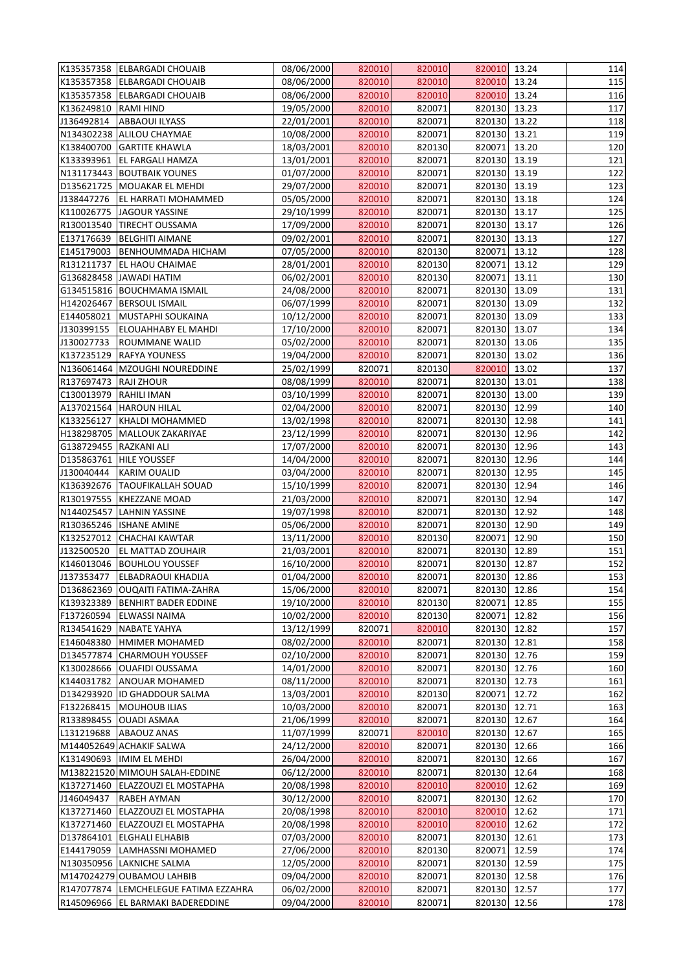|                        | K135357358 ELBARGADI CHOUAIB     | 08/06/2000 | 820010 | 820010 | 820010 13.24 |       | 114 |
|------------------------|----------------------------------|------------|--------|--------|--------------|-------|-----|
|                        | K135357358 ELBARGADI CHOUAIB     | 08/06/2000 | 820010 | 820010 | 820010 13.24 |       | 115 |
| K135357358             | <b>ELBARGADI CHOUAIB</b>         | 08/06/2000 | 820010 | 820010 | 820010       | 13.24 | 116 |
| K136249810             | <b>RAMI HIND</b>                 | 19/05/2000 | 820010 | 820071 | 820130 13.23 |       | 117 |
| J136492814             | <b>ABBAOUI ILYASS</b>            | 22/01/2001 | 820010 | 820071 | 820130 13.22 |       | 118 |
|                        | N134302238 ALILOU CHAYMAE        | 10/08/2000 | 820010 | 820071 | 820130       | 13.21 | 119 |
|                        | K138400700 GARTITE KHAWLA        | 18/03/2001 | 820010 | 820130 | 820071       | 13.20 | 120 |
| K133393961             | <b>EL FARGALI HAMZA</b>          | 13/01/2001 | 820010 | 820071 | 820130       | 13.19 | 121 |
|                        | N131173443 BOUTBAIK YOUNES       | 01/07/2000 | 820010 | 820071 | 820130 13.19 |       | 122 |
|                        | D135621725   MOUAKAR EL MEHDI    | 29/07/2000 | 820010 | 820071 | 820130 13.19 |       | 123 |
| J138447276             | <b>EL HARRATI MOHAMMED</b>       | 05/05/2000 | 820010 | 820071 | 820130 13.18 |       | 124 |
| K110026775             | JAGOUR YASSINE                   | 29/10/1999 | 820010 | 820071 | 820130 13.17 |       | 125 |
| R130013540             | <b>TIRECHT OUSSAMA</b>           | 17/09/2000 | 820010 | 820071 | 820130 13.17 |       | 126 |
| E137176639             | <b>BELGHITI AIMANE</b>           | 09/02/2001 | 820010 | 820071 | 820130       | 13.13 | 127 |
| E145179003             | <b>BENHOUMMADA HICHAM</b>        | 07/05/2000 | 820010 | 820130 | 820071       | 13.12 | 128 |
|                        | R131211737 EL HAOU CHAIMAE       | 28/01/2001 | 820010 | 820130 | 820071       | 13.12 | 129 |
|                        | G136828458 JAWADI HATIM          | 06/02/2001 | 820010 | 820130 | 820071       | 13.11 | 130 |
|                        | G134515816 BOUCHMAMA ISMAIL      | 24/08/2000 | 820010 | 820071 | 820130 13.09 |       | 131 |
| H142026467             | <b>BERSOUL ISMAIL</b>            | 06/07/1999 | 820010 | 820071 | 820130       | 13.09 | 132 |
| E144058021             | MUSTAPHI SOUKAINA                | 10/12/2000 | 820010 | 820071 | 820130 13.09 |       | 133 |
| J130399155             | <b>ELOUAHHABY EL MAHDI</b>       | 17/10/2000 | 820010 | 820071 | 820130 13.07 |       | 134 |
| J130027733             | <b>ROUMMANE WALID</b>            | 05/02/2000 | 820010 | 820071 | 820130 13.06 |       | 135 |
| K137235129             | <b>RAFYA YOUNESS</b>             | 19/04/2000 | 820010 | 820071 | 820130 13.02 |       | 136 |
| N136061464             | MZOUGHI NOUREDDINE               | 25/02/1999 | 820071 | 820130 | 820010       | 13.02 | 137 |
| R137697473             | <b>RAJI ZHOUR</b>                | 08/08/1999 | 820010 | 820071 | 820130       | 13.01 | 138 |
| C130013979             | <b>RAHILI IMAN</b>               | 03/10/1999 | 820010 | 820071 | 820130 13.00 |       | 139 |
|                        | A137021564 HAROUN HILAL          | 02/04/2000 | 820010 | 820071 | 820130       | 12.99 | 140 |
| K133256127             | <b>KHALDI MOHAMMED</b>           | 13/02/1998 | 820010 | 820071 | 820130       | 12.98 | 141 |
|                        | H138298705   MALLOUK ZAKARIYAE   | 23/12/1999 | 820010 | 820071 | 820130       | 12.96 | 142 |
| G138729455 RAZKANI ALI |                                  | 17/07/2000 | 820010 | 820071 | 820130 12.96 |       | 143 |
|                        | D135863761 HILE YOUSSEF          | 14/04/2000 | 820010 | 820071 | 820130 12.96 |       | 144 |
|                        | J130040444 KARIM OUALID          | 03/04/2000 | 820010 | 820071 | 820130 12.95 |       | 145 |
|                        | K136392676 TAOUFIKALLAH SOUAD    | 15/10/1999 | 820010 | 820071 | 820130       | 12.94 | 146 |
|                        | R130197555 KHEZZANE MOAD         | 21/03/2000 | 820010 | 820071 | 820130       | 12.94 | 147 |
|                        | N144025457 LAHNIN YASSINE        | 19/07/1998 | 820010 | 820071 | 820130       | 12.92 | 148 |
|                        | R130365246  ISHANE AMINE         | 05/06/2000 | 820010 | 820071 | 820130       | 12.90 | 149 |
| K132527012             | <b>CHACHAI KAWTAR</b>            | 13/11/2000 | 820010 | 820130 | 820071       | 12.90 | 150 |
| J132500520             | <b>EL MATTAD ZOUHAIR</b>         | 21/03/2001 | 820010 | 820071 | 820130       | 12.89 | 151 |
| K146013046             | <b>BOUHLOU YOUSSEF</b>           | 16/10/2000 | 820010 | 820071 | 820130       | 12.87 | 152 |
| J137353477             | <b>ELBADRAOUI KHADIJA</b>        | 01/04/2000 | 820010 | 820071 | 820130       | 12.86 | 153 |
| D136862369             | <b>OUQAITI FATIMA-ZAHRA</b>      | 15/06/2000 | 820010 | 820071 | 820130       | 12.86 | 154 |
| K139323389             | <b>BENHIRT BADER EDDINE</b>      | 19/10/2000 | 820010 | 820130 | 820071       | 12.85 | 155 |
| F137260594             | <b>ELWASSI NAIMA</b>             | 10/02/2000 | 820010 | 820130 | 820071       | 12.82 | 156 |
| R134541629             | NABATE YAHYA                     | 13/12/1999 | 820071 | 820010 | 820130       | 12.82 | 157 |
| E146048380             | <b>HMIMER MOHAMED</b>            | 08/02/2000 | 820010 | 820071 | 820130       | 12.81 | 158 |
| D134577874             | <b>CHARMOUH YOUSSEF</b>          | 02/10/2000 | 820010 | 820071 | 820130       | 12.76 | 159 |
| K130028666             | <b>OUAFIDI OUSSAMA</b>           | 14/01/2000 | 820010 | 820071 | 820130       | 12.76 | 160 |
| K144031782             | <b>ANOUAR MOHAMED</b>            | 08/11/2000 | 820010 | 820071 | 820130       | 12.73 | 161 |
| D134293920             | <b>ID GHADDOUR SALMA</b>         | 13/03/2001 | 820010 | 820130 | 820071       | 12.72 | 162 |
| F132268415             | MOUHOUB ILIAS                    | 10/03/2000 | 820010 | 820071 | 820130       | 12.71 | 163 |
|                        | R133898455 OUADI ASMAA           | 21/06/1999 | 820010 | 820071 | 820130       | 12.67 | 164 |
| L131219688             | <b>ABAOUZ ANAS</b>               | 11/07/1999 | 820071 | 820010 | 820130       | 12.67 | 165 |
|                        | M144052649 ACHAKIF SALWA         | 24/12/2000 | 820010 | 820071 | 820130       | 12.66 | 166 |
|                        | K131490693  IMIM EL MEHDI        | 26/04/2000 | 820010 | 820071 | 820130       | 12.66 | 167 |
|                        | M138221520 MIMOUH SALAH-EDDINE   | 06/12/2000 | 820010 | 820071 | 820130       | 12.64 | 168 |
|                        | K137271460 ELAZZOUZI EL MOSTAPHA | 20/08/1998 | 820010 | 820010 | 820010       | 12.62 | 169 |
| J146049437             | <b>RABEH AYMAN</b>               | 30/12/2000 | 820010 | 820071 | 820130       | 12.62 | 170 |
| K137271460             | <b>ELAZZOUZI EL MOSTAPHA</b>     | 20/08/1998 | 820010 | 820010 | 820010       | 12.62 | 171 |
| K137271460             | <b>ELAZZOUZI EL MOSTAPHA</b>     | 20/08/1998 | 820010 | 820010 | 820010       | 12.62 | 172 |
|                        | D137864101 ELGHALI ELHABIB       | 07/03/2000 | 820010 | 820071 | 820130       | 12.61 | 173 |
| E144179059             | LAMHASSNI MOHAMED                | 27/06/2000 | 820010 | 820130 | 820071       | 12.59 | 174 |
|                        | N130350956 LAKNICHE SALMA        | 12/05/2000 | 820010 | 820071 | 820130       | 12.59 | 175 |
|                        | M147024279 OUBAMOU LAHBIB        | 09/04/2000 | 820010 | 820071 | 820130 12.58 |       | 176 |
| R147077874             | LEMCHELEGUE FATIMA EZZAHRA       | 06/02/2000 | 820010 | 820071 | 820130       | 12.57 | 177 |
| R145096966             | <b>EL BARMAKI BADEREDDINE</b>    | 09/04/2000 | 820010 | 820071 | 820130       | 12.56 | 178 |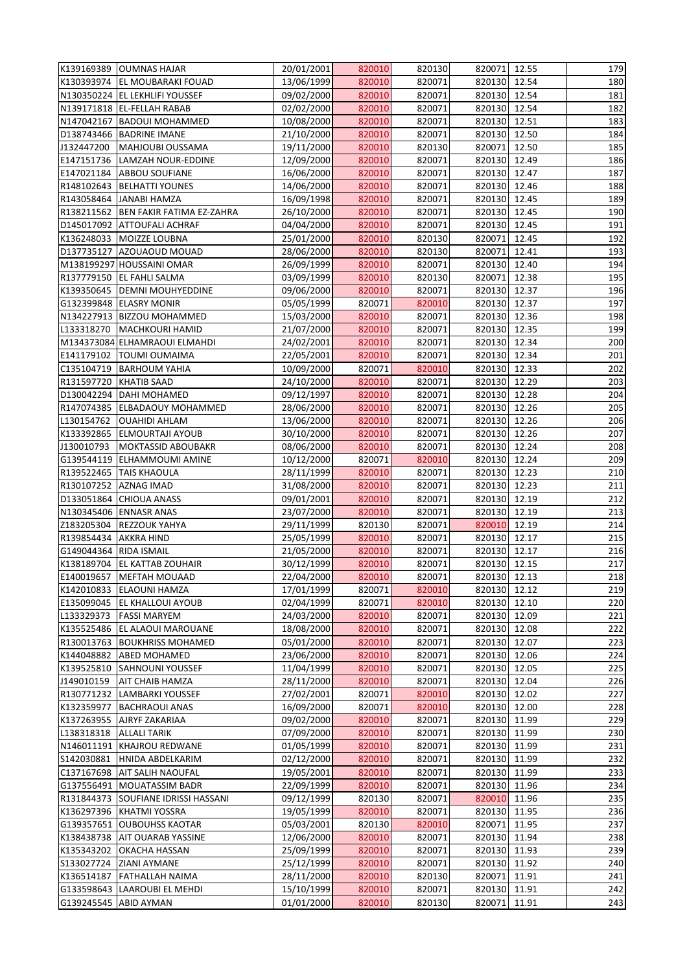| 13/06/1999<br>820071<br>820130 12.54<br>K130393974 EL MOUBARAKI FOUAD<br>820010<br>N130350224 EL LEKHLIFI YOUSSEF<br>09/02/2000<br>820010<br>820071<br>820130<br>12.54<br>N139171818 EL-FELLAH RABAB<br>02/02/2000<br>820010<br>820071<br>820130<br>12.54<br>N147042167   BADOUI MOHAMMED<br>10/08/2000<br>820010<br>820071<br>820130 12.51<br>820071<br>820130<br>12.50<br>D138743466   BADRINE IMANE<br>21/10/2000<br>820010<br>820010<br>820071<br>MAHJOUBI OUSSAMA<br>19/11/2000<br>820130<br>12.50<br>12/09/2000<br>820010<br>820071<br>820130<br>12.49<br>LAMZAH NOUR-EDDINE<br>16/06/2000<br>820010<br>820071<br>820130<br>12.47<br><b>ABBOU SOUFIANE</b><br>R148102643   BELHATTI YOUNES<br>14/06/2000<br>820010<br>820071<br>820130 12.46<br>R143058464 JANABI HAMZA<br>16/09/1998<br>820010<br>820071<br>820130<br>12.45<br>820010<br>820130<br>R138211562   BEN FAKIR FATIMA EZ-ZAHRA<br>26/10/2000<br>820071<br>12.45<br>D145017092 ATTOUFALI ACHRAF<br>04/04/2000<br>820010<br>820071<br>820130<br>12.45<br>K136248033 MOIZZE LOUBNA<br>820010<br>820071<br>12.45<br>25/01/2000<br>820130<br>D137735127 AZOUAOUD MOUAD<br>28/06/2000<br>820010<br>820130<br>820071<br>12.41<br>M138199297 HOUSSAINI OMAR<br>26/09/1999<br>820010<br>820071<br>820130<br>12.40<br>R137779150 EL FAHLI SALMA<br>03/09/1999<br>820010<br>820130<br>820071<br>12.38<br>K139350645   DEMNI MOUHYEDDINE<br>820071<br>820130 12.37<br>09/06/2000<br>820010<br>G132399848 ELASRY MONIR<br>05/05/1999<br>820071<br>820010<br>820130<br>12.37<br>820010<br>820130 12.36<br>N134227913  BIZZOU MOHAMMED<br>15/03/2000<br>820071<br>MACHKOURI HAMID<br>21/07/2000<br>820010<br>820071<br>820130<br>12.35<br>M134373084 ELHAMRAOUI ELMAHDI<br>820010<br>820071<br>820130 12.34<br>24/02/2001<br>820071<br>820130<br>12.34<br>E141179102   TOUMI OUMAIMA<br>22/05/2001<br>820010<br>C135104719<br>10/09/2000<br>820071<br>820010<br>820130<br>12.33<br><b>BARHOUM YAHIA</b><br>R131597720<br><b>KHATIB SAAD</b><br>24/10/2000<br>820010<br>820071<br>820130<br>12.29<br>D130042294 DAHI MOHAMED<br>09/12/1997<br>820010<br>820071<br>820130<br>12.28<br>R147074385 ELBADAOUY MOHAMMED<br>820071<br>820130<br>12.26<br>28/06/2000<br>820010<br>L130154762<br>820010<br>820071<br>820130<br><b>OUAHIDI AHLAM</b><br>13/06/2000<br>12.26<br>K133392865<br>30/10/2000<br>820010<br>820071<br>820130<br>12.26<br><b>ELMOURTAJI AYOUB</b><br>J130010793<br>MOKTASSID ABOUBAKR<br>08/06/2000<br>820010<br>820071<br>820130 12.24<br>G139544119 ELHAMMOUMI AMINE<br>10/12/2000<br>820130 12.24<br>820071<br>820010<br>R139522465 TAIS KHAOULA<br>28/11/1999<br>820010<br>820071<br>820130 12.23<br>R130107252 AZNAG IMAD<br>31/08/2000<br>820010<br>820071<br>820130<br>12.23<br>09/01/2001<br>820010<br>820071<br>820130<br>12.19<br>D133051864 CHIOUA ANASS<br>N130345406 ENNASR ANAS<br>820071<br>820130<br>12.19<br>23/07/2000<br>820010<br>Z183205304 REZZOUK YAHYA<br>29/11/1999<br>820130<br>820071<br>820010<br>12.19<br>R139854434<br>820071<br>820130<br>12.17<br><b>AKKRA HIND</b><br>25/05/1999<br>820010<br>820071<br>820130<br>12.17<br>G149044364 RIDA ISMAIL<br>21/05/2000<br>820010<br>K138189704 EL KATTAB ZOUHAIR<br>30/12/1999<br>820010<br>820071<br>820130<br>12.15<br>22/04/2000<br>820071<br>820130<br>12.13<br>E140019657   MEFTAH MOUAAD<br>820010<br>K142010833 ELAOUNI HAMZA<br>17/01/1999<br>820071<br>820010<br>820130<br>12.12<br>02/04/1999<br>820130<br>12.10<br>E135099045<br><b>EL KHALLOUI AYOUB</b><br>820071<br>820010<br>12.09<br>L133329373<br><b>FASSI MARYEM</b><br>24/03/2000<br>820010<br>820071<br>820130<br>K135525486 EL ALAOUI MAROUANE<br>820130<br>18/08/2000<br>820010<br>820071<br>12.08<br>R130013763 BOUKHRISS MOHAMED<br>05/01/2000<br>820010<br>820071<br>820130<br>12.07<br>K144048882 ABED MOHAMED<br>820010<br>820071<br>820130<br>12.06<br>23/06/2000<br>11/04/1999<br>820010<br>820130<br>12.05<br>K139525810<br><b>SAHNOUNI YOUSSEF</b><br>820071<br>820071<br>820130<br>12.04<br>J149010159<br><b>AIT CHAIB HAMZA</b><br>28/11/2000<br>820010<br>R130771232 LAMBARKI YOUSSEF<br>27/02/2001<br>820071<br>820010<br>820130<br>12.02<br>16/09/2000<br>820071<br>820010<br>820130<br>12.00<br><b>BACHRAOUI ANAS</b><br>11.99<br>K137263955 AJRYFZAKARIAA<br>09/02/2000<br>820010<br>820071<br>820130<br>L138318318<br>07/09/2000<br>820071<br>820130<br>11.99<br><b>ALLALI TARIK</b><br>820010<br>01/05/1999<br>820071<br>820130<br>11.99<br>N146011191 KHAJROU REDWANE<br>820010<br>S142030881<br>820010<br>820071<br>820130<br>11.99<br>HNIDA ABDELKARIM<br>02/12/2000<br>19/05/2001<br>820010<br>820071<br>820130<br>11.99<br>C137167698 AIT SALIH NAOUFAL<br>G137556491   MOUATASSIM BADR<br>820130<br>11.96<br>22/09/1999<br>820010<br>820071<br>09/12/1999<br>820010<br>11.96<br>R131844373 SOUFIANE IDRISSI HASSANI<br>820130<br>820071<br>K136297396 KHATMI YOSSRA<br>820071<br>820130<br>11.95<br>19/05/1999<br>820010<br>G139357651 OUBOUHSS KAOTAR<br>820071<br>11.95<br>05/03/2001<br>820130<br>820010<br>K138438738 AIT OUARAB YASSINE<br>12/06/2000<br>820010<br>820071<br>820130<br>11.94<br>K135343202 OKACHA HASSAN<br>25/09/1999<br>820071<br>820130<br>11.93<br>820010<br>S133027724<br><b>ZIANI AYMANE</b><br>25/12/1999<br>820010<br>820071<br>820130<br>11.92<br>K136514187 FATHALLAH NAIMA<br>28/11/2000<br>820010<br>820130<br>820071 11.91<br>G133598643 LAAROUBI EL MEHDI<br>15/10/1999<br>820010<br>820071<br>11.91<br>820130<br>01/01/2000<br>G139245545 ABID AYMAN<br>820130<br>820071<br>11.91<br>820010 |            | K139169389 OUMNAS HAJAR | 20/01/2001 | 820010 | 820130 | 820071 12.55 | 179 |
|--------------------------------------------------------------------------------------------------------------------------------------------------------------------------------------------------------------------------------------------------------------------------------------------------------------------------------------------------------------------------------------------------------------------------------------------------------------------------------------------------------------------------------------------------------------------------------------------------------------------------------------------------------------------------------------------------------------------------------------------------------------------------------------------------------------------------------------------------------------------------------------------------------------------------------------------------------------------------------------------------------------------------------------------------------------------------------------------------------------------------------------------------------------------------------------------------------------------------------------------------------------------------------------------------------------------------------------------------------------------------------------------------------------------------------------------------------------------------------------------------------------------------------------------------------------------------------------------------------------------------------------------------------------------------------------------------------------------------------------------------------------------------------------------------------------------------------------------------------------------------------------------------------------------------------------------------------------------------------------------------------------------------------------------------------------------------------------------------------------------------------------------------------------------------------------------------------------------------------------------------------------------------------------------------------------------------------------------------------------------------------------------------------------------------------------------------------------------------------------------------------------------------------------------------------------------------------------------------------------------------------------------------------------------------------------------------------------------------------------------------------------------------------------------------------------------------------------------------------------------------------------------------------------------------------------------------------------------------------------------------------------------------------------------------------------------------------------------------------------------------------------------------------------------------------------------------------------------------------------------------------------------------------------------------------------------------------------------------------------------------------------------------------------------------------------------------------------------------------------------------------------------------------------------------------------------------------------------------------------------------------------------------------------------------------------------------------------------------------------------------------------------------------------------------------------------------------------------------------------------------------------------------------------------------------------------------------------------------------------------------------------------------------------------------------------------------------------------------------------------------------------------------------------------------------------------------------------------------------------------------------------------------------------------------------------------------------------------------------------------------------------------------------------------------------------------------------------------------------------------------------------------------------------------------------------------------------------------------------------------------------------------------------------------------------------------------------------------------------------------------------------------------------------------------------------------------------------------------------------------------------------------------------------------------------------------------------------------------------------------------------------------------------------------------------------------------------------------------------------------------------------------------------------------------------------------------------------------------------------------------------------------------------------------------------------------------------------------------------------------------------------------------------------------------------------------------------------------------------------------------------------------------------------------------------------------------|------------|-------------------------|------------|--------|--------|--------------|-----|
| 182<br>183<br>185<br>186<br>188<br>191<br>192<br>195<br>196<br>197<br>198<br>199<br>200<br>201<br>202<br>203<br>204<br>205<br>206<br>207<br>208<br>209<br>210<br>211<br>212<br>213<br>214<br>215<br>216<br>217<br>218<br>219<br>220<br>221<br>222<br>223<br>224<br>225<br>227<br>228<br>229<br>230<br>231<br>232<br>233<br>234<br>235<br>236<br>237<br>238<br>239<br>240<br>241<br>242<br>243                                                                                                                                                                                                                                                                                                                                                                                                                                                                                                                                                                                                                                                                                                                                                                                                                                                                                                                                                                                                                                                                                                                                                                                                                                                                                                                                                                                                                                                                                                                                                                                                                                                                                                                                                                                                                                                                                                                                                                                                                                                                                                                                                                                                                                                                                                                                                                                                                                                                                                                                                                                                                                                                                                                                                                                                                                                                                                                                                                                                                                                                                                                                                                                                                                                                                                                                                                                                                                                                                                                                                                                                                                                                                                                                                                                                                                                                                                                                                                                                                                                                                                                                                                                                                                                                                                                                                                                                                                                                                                                                                                                                                                                                                                                                                                                                                                                                                                                                                                                                                                                                                                                                                                            |            |                         |            |        |        |              | 180 |
|                                                                                                                                                                                                                                                                                                                                                                                                                                                                                                                                                                                                                                                                                                                                                                                                                                                                                                                                                                                                                                                                                                                                                                                                                                                                                                                                                                                                                                                                                                                                                                                                                                                                                                                                                                                                                                                                                                                                                                                                                                                                                                                                                                                                                                                                                                                                                                                                                                                                                                                                                                                                                                                                                                                                                                                                                                                                                                                                                                                                                                                                                                                                                                                                                                                                                                                                                                                                                                                                                                                                                                                                                                                                                                                                                                                                                                                                                                                                                                                                                                                                                                                                                                                                                                                                                                                                                                                                                                                                                                                                                                                                                                                                                                                                                                                                                                                                                                                                                                                                                                                                                                                                                                                                                                                                                                                                                                                                                                                                                                                                                                          |            |                         |            |        |        |              | 181 |
|                                                                                                                                                                                                                                                                                                                                                                                                                                                                                                                                                                                                                                                                                                                                                                                                                                                                                                                                                                                                                                                                                                                                                                                                                                                                                                                                                                                                                                                                                                                                                                                                                                                                                                                                                                                                                                                                                                                                                                                                                                                                                                                                                                                                                                                                                                                                                                                                                                                                                                                                                                                                                                                                                                                                                                                                                                                                                                                                                                                                                                                                                                                                                                                                                                                                                                                                                                                                                                                                                                                                                                                                                                                                                                                                                                                                                                                                                                                                                                                                                                                                                                                                                                                                                                                                                                                                                                                                                                                                                                                                                                                                                                                                                                                                                                                                                                                                                                                                                                                                                                                                                                                                                                                                                                                                                                                                                                                                                                                                                                                                                                          |            |                         |            |        |        |              |     |
|                                                                                                                                                                                                                                                                                                                                                                                                                                                                                                                                                                                                                                                                                                                                                                                                                                                                                                                                                                                                                                                                                                                                                                                                                                                                                                                                                                                                                                                                                                                                                                                                                                                                                                                                                                                                                                                                                                                                                                                                                                                                                                                                                                                                                                                                                                                                                                                                                                                                                                                                                                                                                                                                                                                                                                                                                                                                                                                                                                                                                                                                                                                                                                                                                                                                                                                                                                                                                                                                                                                                                                                                                                                                                                                                                                                                                                                                                                                                                                                                                                                                                                                                                                                                                                                                                                                                                                                                                                                                                                                                                                                                                                                                                                                                                                                                                                                                                                                                                                                                                                                                                                                                                                                                                                                                                                                                                                                                                                                                                                                                                                          |            |                         |            |        |        |              |     |
|                                                                                                                                                                                                                                                                                                                                                                                                                                                                                                                                                                                                                                                                                                                                                                                                                                                                                                                                                                                                                                                                                                                                                                                                                                                                                                                                                                                                                                                                                                                                                                                                                                                                                                                                                                                                                                                                                                                                                                                                                                                                                                                                                                                                                                                                                                                                                                                                                                                                                                                                                                                                                                                                                                                                                                                                                                                                                                                                                                                                                                                                                                                                                                                                                                                                                                                                                                                                                                                                                                                                                                                                                                                                                                                                                                                                                                                                                                                                                                                                                                                                                                                                                                                                                                                                                                                                                                                                                                                                                                                                                                                                                                                                                                                                                                                                                                                                                                                                                                                                                                                                                                                                                                                                                                                                                                                                                                                                                                                                                                                                                                          |            |                         |            |        |        |              | 184 |
|                                                                                                                                                                                                                                                                                                                                                                                                                                                                                                                                                                                                                                                                                                                                                                                                                                                                                                                                                                                                                                                                                                                                                                                                                                                                                                                                                                                                                                                                                                                                                                                                                                                                                                                                                                                                                                                                                                                                                                                                                                                                                                                                                                                                                                                                                                                                                                                                                                                                                                                                                                                                                                                                                                                                                                                                                                                                                                                                                                                                                                                                                                                                                                                                                                                                                                                                                                                                                                                                                                                                                                                                                                                                                                                                                                                                                                                                                                                                                                                                                                                                                                                                                                                                                                                                                                                                                                                                                                                                                                                                                                                                                                                                                                                                                                                                                                                                                                                                                                                                                                                                                                                                                                                                                                                                                                                                                                                                                                                                                                                                                                          | J132447200 |                         |            |        |        |              |     |
|                                                                                                                                                                                                                                                                                                                                                                                                                                                                                                                                                                                                                                                                                                                                                                                                                                                                                                                                                                                                                                                                                                                                                                                                                                                                                                                                                                                                                                                                                                                                                                                                                                                                                                                                                                                                                                                                                                                                                                                                                                                                                                                                                                                                                                                                                                                                                                                                                                                                                                                                                                                                                                                                                                                                                                                                                                                                                                                                                                                                                                                                                                                                                                                                                                                                                                                                                                                                                                                                                                                                                                                                                                                                                                                                                                                                                                                                                                                                                                                                                                                                                                                                                                                                                                                                                                                                                                                                                                                                                                                                                                                                                                                                                                                                                                                                                                                                                                                                                                                                                                                                                                                                                                                                                                                                                                                                                                                                                                                                                                                                                                          | E147151736 |                         |            |        |        |              |     |
|                                                                                                                                                                                                                                                                                                                                                                                                                                                                                                                                                                                                                                                                                                                                                                                                                                                                                                                                                                                                                                                                                                                                                                                                                                                                                                                                                                                                                                                                                                                                                                                                                                                                                                                                                                                                                                                                                                                                                                                                                                                                                                                                                                                                                                                                                                                                                                                                                                                                                                                                                                                                                                                                                                                                                                                                                                                                                                                                                                                                                                                                                                                                                                                                                                                                                                                                                                                                                                                                                                                                                                                                                                                                                                                                                                                                                                                                                                                                                                                                                                                                                                                                                                                                                                                                                                                                                                                                                                                                                                                                                                                                                                                                                                                                                                                                                                                                                                                                                                                                                                                                                                                                                                                                                                                                                                                                                                                                                                                                                                                                                                          | E147021184 |                         |            |        |        |              | 187 |
|                                                                                                                                                                                                                                                                                                                                                                                                                                                                                                                                                                                                                                                                                                                                                                                                                                                                                                                                                                                                                                                                                                                                                                                                                                                                                                                                                                                                                                                                                                                                                                                                                                                                                                                                                                                                                                                                                                                                                                                                                                                                                                                                                                                                                                                                                                                                                                                                                                                                                                                                                                                                                                                                                                                                                                                                                                                                                                                                                                                                                                                                                                                                                                                                                                                                                                                                                                                                                                                                                                                                                                                                                                                                                                                                                                                                                                                                                                                                                                                                                                                                                                                                                                                                                                                                                                                                                                                                                                                                                                                                                                                                                                                                                                                                                                                                                                                                                                                                                                                                                                                                                                                                                                                                                                                                                                                                                                                                                                                                                                                                                                          |            |                         |            |        |        |              |     |
|                                                                                                                                                                                                                                                                                                                                                                                                                                                                                                                                                                                                                                                                                                                                                                                                                                                                                                                                                                                                                                                                                                                                                                                                                                                                                                                                                                                                                                                                                                                                                                                                                                                                                                                                                                                                                                                                                                                                                                                                                                                                                                                                                                                                                                                                                                                                                                                                                                                                                                                                                                                                                                                                                                                                                                                                                                                                                                                                                                                                                                                                                                                                                                                                                                                                                                                                                                                                                                                                                                                                                                                                                                                                                                                                                                                                                                                                                                                                                                                                                                                                                                                                                                                                                                                                                                                                                                                                                                                                                                                                                                                                                                                                                                                                                                                                                                                                                                                                                                                                                                                                                                                                                                                                                                                                                                                                                                                                                                                                                                                                                                          |            |                         |            |        |        |              | 189 |
|                                                                                                                                                                                                                                                                                                                                                                                                                                                                                                                                                                                                                                                                                                                                                                                                                                                                                                                                                                                                                                                                                                                                                                                                                                                                                                                                                                                                                                                                                                                                                                                                                                                                                                                                                                                                                                                                                                                                                                                                                                                                                                                                                                                                                                                                                                                                                                                                                                                                                                                                                                                                                                                                                                                                                                                                                                                                                                                                                                                                                                                                                                                                                                                                                                                                                                                                                                                                                                                                                                                                                                                                                                                                                                                                                                                                                                                                                                                                                                                                                                                                                                                                                                                                                                                                                                                                                                                                                                                                                                                                                                                                                                                                                                                                                                                                                                                                                                                                                                                                                                                                                                                                                                                                                                                                                                                                                                                                                                                                                                                                                                          |            |                         |            |        |        |              | 190 |
|                                                                                                                                                                                                                                                                                                                                                                                                                                                                                                                                                                                                                                                                                                                                                                                                                                                                                                                                                                                                                                                                                                                                                                                                                                                                                                                                                                                                                                                                                                                                                                                                                                                                                                                                                                                                                                                                                                                                                                                                                                                                                                                                                                                                                                                                                                                                                                                                                                                                                                                                                                                                                                                                                                                                                                                                                                                                                                                                                                                                                                                                                                                                                                                                                                                                                                                                                                                                                                                                                                                                                                                                                                                                                                                                                                                                                                                                                                                                                                                                                                                                                                                                                                                                                                                                                                                                                                                                                                                                                                                                                                                                                                                                                                                                                                                                                                                                                                                                                                                                                                                                                                                                                                                                                                                                                                                                                                                                                                                                                                                                                                          |            |                         |            |        |        |              |     |
|                                                                                                                                                                                                                                                                                                                                                                                                                                                                                                                                                                                                                                                                                                                                                                                                                                                                                                                                                                                                                                                                                                                                                                                                                                                                                                                                                                                                                                                                                                                                                                                                                                                                                                                                                                                                                                                                                                                                                                                                                                                                                                                                                                                                                                                                                                                                                                                                                                                                                                                                                                                                                                                                                                                                                                                                                                                                                                                                                                                                                                                                                                                                                                                                                                                                                                                                                                                                                                                                                                                                                                                                                                                                                                                                                                                                                                                                                                                                                                                                                                                                                                                                                                                                                                                                                                                                                                                                                                                                                                                                                                                                                                                                                                                                                                                                                                                                                                                                                                                                                                                                                                                                                                                                                                                                                                                                                                                                                                                                                                                                                                          |            |                         |            |        |        |              |     |
|                                                                                                                                                                                                                                                                                                                                                                                                                                                                                                                                                                                                                                                                                                                                                                                                                                                                                                                                                                                                                                                                                                                                                                                                                                                                                                                                                                                                                                                                                                                                                                                                                                                                                                                                                                                                                                                                                                                                                                                                                                                                                                                                                                                                                                                                                                                                                                                                                                                                                                                                                                                                                                                                                                                                                                                                                                                                                                                                                                                                                                                                                                                                                                                                                                                                                                                                                                                                                                                                                                                                                                                                                                                                                                                                                                                                                                                                                                                                                                                                                                                                                                                                                                                                                                                                                                                                                                                                                                                                                                                                                                                                                                                                                                                                                                                                                                                                                                                                                                                                                                                                                                                                                                                                                                                                                                                                                                                                                                                                                                                                                                          |            |                         |            |        |        |              | 193 |
|                                                                                                                                                                                                                                                                                                                                                                                                                                                                                                                                                                                                                                                                                                                                                                                                                                                                                                                                                                                                                                                                                                                                                                                                                                                                                                                                                                                                                                                                                                                                                                                                                                                                                                                                                                                                                                                                                                                                                                                                                                                                                                                                                                                                                                                                                                                                                                                                                                                                                                                                                                                                                                                                                                                                                                                                                                                                                                                                                                                                                                                                                                                                                                                                                                                                                                                                                                                                                                                                                                                                                                                                                                                                                                                                                                                                                                                                                                                                                                                                                                                                                                                                                                                                                                                                                                                                                                                                                                                                                                                                                                                                                                                                                                                                                                                                                                                                                                                                                                                                                                                                                                                                                                                                                                                                                                                                                                                                                                                                                                                                                                          |            |                         |            |        |        |              | 194 |
|                                                                                                                                                                                                                                                                                                                                                                                                                                                                                                                                                                                                                                                                                                                                                                                                                                                                                                                                                                                                                                                                                                                                                                                                                                                                                                                                                                                                                                                                                                                                                                                                                                                                                                                                                                                                                                                                                                                                                                                                                                                                                                                                                                                                                                                                                                                                                                                                                                                                                                                                                                                                                                                                                                                                                                                                                                                                                                                                                                                                                                                                                                                                                                                                                                                                                                                                                                                                                                                                                                                                                                                                                                                                                                                                                                                                                                                                                                                                                                                                                                                                                                                                                                                                                                                                                                                                                                                                                                                                                                                                                                                                                                                                                                                                                                                                                                                                                                                                                                                                                                                                                                                                                                                                                                                                                                                                                                                                                                                                                                                                                                          |            |                         |            |        |        |              |     |
|                                                                                                                                                                                                                                                                                                                                                                                                                                                                                                                                                                                                                                                                                                                                                                                                                                                                                                                                                                                                                                                                                                                                                                                                                                                                                                                                                                                                                                                                                                                                                                                                                                                                                                                                                                                                                                                                                                                                                                                                                                                                                                                                                                                                                                                                                                                                                                                                                                                                                                                                                                                                                                                                                                                                                                                                                                                                                                                                                                                                                                                                                                                                                                                                                                                                                                                                                                                                                                                                                                                                                                                                                                                                                                                                                                                                                                                                                                                                                                                                                                                                                                                                                                                                                                                                                                                                                                                                                                                                                                                                                                                                                                                                                                                                                                                                                                                                                                                                                                                                                                                                                                                                                                                                                                                                                                                                                                                                                                                                                                                                                                          |            |                         |            |        |        |              |     |
|                                                                                                                                                                                                                                                                                                                                                                                                                                                                                                                                                                                                                                                                                                                                                                                                                                                                                                                                                                                                                                                                                                                                                                                                                                                                                                                                                                                                                                                                                                                                                                                                                                                                                                                                                                                                                                                                                                                                                                                                                                                                                                                                                                                                                                                                                                                                                                                                                                                                                                                                                                                                                                                                                                                                                                                                                                                                                                                                                                                                                                                                                                                                                                                                                                                                                                                                                                                                                                                                                                                                                                                                                                                                                                                                                                                                                                                                                                                                                                                                                                                                                                                                                                                                                                                                                                                                                                                                                                                                                                                                                                                                                                                                                                                                                                                                                                                                                                                                                                                                                                                                                                                                                                                                                                                                                                                                                                                                                                                                                                                                                                          |            |                         |            |        |        |              |     |
|                                                                                                                                                                                                                                                                                                                                                                                                                                                                                                                                                                                                                                                                                                                                                                                                                                                                                                                                                                                                                                                                                                                                                                                                                                                                                                                                                                                                                                                                                                                                                                                                                                                                                                                                                                                                                                                                                                                                                                                                                                                                                                                                                                                                                                                                                                                                                                                                                                                                                                                                                                                                                                                                                                                                                                                                                                                                                                                                                                                                                                                                                                                                                                                                                                                                                                                                                                                                                                                                                                                                                                                                                                                                                                                                                                                                                                                                                                                                                                                                                                                                                                                                                                                                                                                                                                                                                                                                                                                                                                                                                                                                                                                                                                                                                                                                                                                                                                                                                                                                                                                                                                                                                                                                                                                                                                                                                                                                                                                                                                                                                                          |            |                         |            |        |        |              |     |
|                                                                                                                                                                                                                                                                                                                                                                                                                                                                                                                                                                                                                                                                                                                                                                                                                                                                                                                                                                                                                                                                                                                                                                                                                                                                                                                                                                                                                                                                                                                                                                                                                                                                                                                                                                                                                                                                                                                                                                                                                                                                                                                                                                                                                                                                                                                                                                                                                                                                                                                                                                                                                                                                                                                                                                                                                                                                                                                                                                                                                                                                                                                                                                                                                                                                                                                                                                                                                                                                                                                                                                                                                                                                                                                                                                                                                                                                                                                                                                                                                                                                                                                                                                                                                                                                                                                                                                                                                                                                                                                                                                                                                                                                                                                                                                                                                                                                                                                                                                                                                                                                                                                                                                                                                                                                                                                                                                                                                                                                                                                                                                          | L133318270 |                         |            |        |        |              |     |
|                                                                                                                                                                                                                                                                                                                                                                                                                                                                                                                                                                                                                                                                                                                                                                                                                                                                                                                                                                                                                                                                                                                                                                                                                                                                                                                                                                                                                                                                                                                                                                                                                                                                                                                                                                                                                                                                                                                                                                                                                                                                                                                                                                                                                                                                                                                                                                                                                                                                                                                                                                                                                                                                                                                                                                                                                                                                                                                                                                                                                                                                                                                                                                                                                                                                                                                                                                                                                                                                                                                                                                                                                                                                                                                                                                                                                                                                                                                                                                                                                                                                                                                                                                                                                                                                                                                                                                                                                                                                                                                                                                                                                                                                                                                                                                                                                                                                                                                                                                                                                                                                                                                                                                                                                                                                                                                                                                                                                                                                                                                                                                          |            |                         |            |        |        |              |     |
|                                                                                                                                                                                                                                                                                                                                                                                                                                                                                                                                                                                                                                                                                                                                                                                                                                                                                                                                                                                                                                                                                                                                                                                                                                                                                                                                                                                                                                                                                                                                                                                                                                                                                                                                                                                                                                                                                                                                                                                                                                                                                                                                                                                                                                                                                                                                                                                                                                                                                                                                                                                                                                                                                                                                                                                                                                                                                                                                                                                                                                                                                                                                                                                                                                                                                                                                                                                                                                                                                                                                                                                                                                                                                                                                                                                                                                                                                                                                                                                                                                                                                                                                                                                                                                                                                                                                                                                                                                                                                                                                                                                                                                                                                                                                                                                                                                                                                                                                                                                                                                                                                                                                                                                                                                                                                                                                                                                                                                                                                                                                                                          |            |                         |            |        |        |              |     |
|                                                                                                                                                                                                                                                                                                                                                                                                                                                                                                                                                                                                                                                                                                                                                                                                                                                                                                                                                                                                                                                                                                                                                                                                                                                                                                                                                                                                                                                                                                                                                                                                                                                                                                                                                                                                                                                                                                                                                                                                                                                                                                                                                                                                                                                                                                                                                                                                                                                                                                                                                                                                                                                                                                                                                                                                                                                                                                                                                                                                                                                                                                                                                                                                                                                                                                                                                                                                                                                                                                                                                                                                                                                                                                                                                                                                                                                                                                                                                                                                                                                                                                                                                                                                                                                                                                                                                                                                                                                                                                                                                                                                                                                                                                                                                                                                                                                                                                                                                                                                                                                                                                                                                                                                                                                                                                                                                                                                                                                                                                                                                                          |            |                         |            |        |        |              |     |
|                                                                                                                                                                                                                                                                                                                                                                                                                                                                                                                                                                                                                                                                                                                                                                                                                                                                                                                                                                                                                                                                                                                                                                                                                                                                                                                                                                                                                                                                                                                                                                                                                                                                                                                                                                                                                                                                                                                                                                                                                                                                                                                                                                                                                                                                                                                                                                                                                                                                                                                                                                                                                                                                                                                                                                                                                                                                                                                                                                                                                                                                                                                                                                                                                                                                                                                                                                                                                                                                                                                                                                                                                                                                                                                                                                                                                                                                                                                                                                                                                                                                                                                                                                                                                                                                                                                                                                                                                                                                                                                                                                                                                                                                                                                                                                                                                                                                                                                                                                                                                                                                                                                                                                                                                                                                                                                                                                                                                                                                                                                                                                          |            |                         |            |        |        |              |     |
|                                                                                                                                                                                                                                                                                                                                                                                                                                                                                                                                                                                                                                                                                                                                                                                                                                                                                                                                                                                                                                                                                                                                                                                                                                                                                                                                                                                                                                                                                                                                                                                                                                                                                                                                                                                                                                                                                                                                                                                                                                                                                                                                                                                                                                                                                                                                                                                                                                                                                                                                                                                                                                                                                                                                                                                                                                                                                                                                                                                                                                                                                                                                                                                                                                                                                                                                                                                                                                                                                                                                                                                                                                                                                                                                                                                                                                                                                                                                                                                                                                                                                                                                                                                                                                                                                                                                                                                                                                                                                                                                                                                                                                                                                                                                                                                                                                                                                                                                                                                                                                                                                                                                                                                                                                                                                                                                                                                                                                                                                                                                                                          |            |                         |            |        |        |              |     |
|                                                                                                                                                                                                                                                                                                                                                                                                                                                                                                                                                                                                                                                                                                                                                                                                                                                                                                                                                                                                                                                                                                                                                                                                                                                                                                                                                                                                                                                                                                                                                                                                                                                                                                                                                                                                                                                                                                                                                                                                                                                                                                                                                                                                                                                                                                                                                                                                                                                                                                                                                                                                                                                                                                                                                                                                                                                                                                                                                                                                                                                                                                                                                                                                                                                                                                                                                                                                                                                                                                                                                                                                                                                                                                                                                                                                                                                                                                                                                                                                                                                                                                                                                                                                                                                                                                                                                                                                                                                                                                                                                                                                                                                                                                                                                                                                                                                                                                                                                                                                                                                                                                                                                                                                                                                                                                                                                                                                                                                                                                                                                                          |            |                         |            |        |        |              |     |
|                                                                                                                                                                                                                                                                                                                                                                                                                                                                                                                                                                                                                                                                                                                                                                                                                                                                                                                                                                                                                                                                                                                                                                                                                                                                                                                                                                                                                                                                                                                                                                                                                                                                                                                                                                                                                                                                                                                                                                                                                                                                                                                                                                                                                                                                                                                                                                                                                                                                                                                                                                                                                                                                                                                                                                                                                                                                                                                                                                                                                                                                                                                                                                                                                                                                                                                                                                                                                                                                                                                                                                                                                                                                                                                                                                                                                                                                                                                                                                                                                                                                                                                                                                                                                                                                                                                                                                                                                                                                                                                                                                                                                                                                                                                                                                                                                                                                                                                                                                                                                                                                                                                                                                                                                                                                                                                                                                                                                                                                                                                                                                          |            |                         |            |        |        |              |     |
|                                                                                                                                                                                                                                                                                                                                                                                                                                                                                                                                                                                                                                                                                                                                                                                                                                                                                                                                                                                                                                                                                                                                                                                                                                                                                                                                                                                                                                                                                                                                                                                                                                                                                                                                                                                                                                                                                                                                                                                                                                                                                                                                                                                                                                                                                                                                                                                                                                                                                                                                                                                                                                                                                                                                                                                                                                                                                                                                                                                                                                                                                                                                                                                                                                                                                                                                                                                                                                                                                                                                                                                                                                                                                                                                                                                                                                                                                                                                                                                                                                                                                                                                                                                                                                                                                                                                                                                                                                                                                                                                                                                                                                                                                                                                                                                                                                                                                                                                                                                                                                                                                                                                                                                                                                                                                                                                                                                                                                                                                                                                                                          |            |                         |            |        |        |              |     |
|                                                                                                                                                                                                                                                                                                                                                                                                                                                                                                                                                                                                                                                                                                                                                                                                                                                                                                                                                                                                                                                                                                                                                                                                                                                                                                                                                                                                                                                                                                                                                                                                                                                                                                                                                                                                                                                                                                                                                                                                                                                                                                                                                                                                                                                                                                                                                                                                                                                                                                                                                                                                                                                                                                                                                                                                                                                                                                                                                                                                                                                                                                                                                                                                                                                                                                                                                                                                                                                                                                                                                                                                                                                                                                                                                                                                                                                                                                                                                                                                                                                                                                                                                                                                                                                                                                                                                                                                                                                                                                                                                                                                                                                                                                                                                                                                                                                                                                                                                                                                                                                                                                                                                                                                                                                                                                                                                                                                                                                                                                                                                                          |            |                         |            |        |        |              |     |
|                                                                                                                                                                                                                                                                                                                                                                                                                                                                                                                                                                                                                                                                                                                                                                                                                                                                                                                                                                                                                                                                                                                                                                                                                                                                                                                                                                                                                                                                                                                                                                                                                                                                                                                                                                                                                                                                                                                                                                                                                                                                                                                                                                                                                                                                                                                                                                                                                                                                                                                                                                                                                                                                                                                                                                                                                                                                                                                                                                                                                                                                                                                                                                                                                                                                                                                                                                                                                                                                                                                                                                                                                                                                                                                                                                                                                                                                                                                                                                                                                                                                                                                                                                                                                                                                                                                                                                                                                                                                                                                                                                                                                                                                                                                                                                                                                                                                                                                                                                                                                                                                                                                                                                                                                                                                                                                                                                                                                                                                                                                                                                          |            |                         |            |        |        |              |     |
|                                                                                                                                                                                                                                                                                                                                                                                                                                                                                                                                                                                                                                                                                                                                                                                                                                                                                                                                                                                                                                                                                                                                                                                                                                                                                                                                                                                                                                                                                                                                                                                                                                                                                                                                                                                                                                                                                                                                                                                                                                                                                                                                                                                                                                                                                                                                                                                                                                                                                                                                                                                                                                                                                                                                                                                                                                                                                                                                                                                                                                                                                                                                                                                                                                                                                                                                                                                                                                                                                                                                                                                                                                                                                                                                                                                                                                                                                                                                                                                                                                                                                                                                                                                                                                                                                                                                                                                                                                                                                                                                                                                                                                                                                                                                                                                                                                                                                                                                                                                                                                                                                                                                                                                                                                                                                                                                                                                                                                                                                                                                                                          |            |                         |            |        |        |              |     |
|                                                                                                                                                                                                                                                                                                                                                                                                                                                                                                                                                                                                                                                                                                                                                                                                                                                                                                                                                                                                                                                                                                                                                                                                                                                                                                                                                                                                                                                                                                                                                                                                                                                                                                                                                                                                                                                                                                                                                                                                                                                                                                                                                                                                                                                                                                                                                                                                                                                                                                                                                                                                                                                                                                                                                                                                                                                                                                                                                                                                                                                                                                                                                                                                                                                                                                                                                                                                                                                                                                                                                                                                                                                                                                                                                                                                                                                                                                                                                                                                                                                                                                                                                                                                                                                                                                                                                                                                                                                                                                                                                                                                                                                                                                                                                                                                                                                                                                                                                                                                                                                                                                                                                                                                                                                                                                                                                                                                                                                                                                                                                                          |            |                         |            |        |        |              |     |
|                                                                                                                                                                                                                                                                                                                                                                                                                                                                                                                                                                                                                                                                                                                                                                                                                                                                                                                                                                                                                                                                                                                                                                                                                                                                                                                                                                                                                                                                                                                                                                                                                                                                                                                                                                                                                                                                                                                                                                                                                                                                                                                                                                                                                                                                                                                                                                                                                                                                                                                                                                                                                                                                                                                                                                                                                                                                                                                                                                                                                                                                                                                                                                                                                                                                                                                                                                                                                                                                                                                                                                                                                                                                                                                                                                                                                                                                                                                                                                                                                                                                                                                                                                                                                                                                                                                                                                                                                                                                                                                                                                                                                                                                                                                                                                                                                                                                                                                                                                                                                                                                                                                                                                                                                                                                                                                                                                                                                                                                                                                                                                          |            |                         |            |        |        |              |     |
|                                                                                                                                                                                                                                                                                                                                                                                                                                                                                                                                                                                                                                                                                                                                                                                                                                                                                                                                                                                                                                                                                                                                                                                                                                                                                                                                                                                                                                                                                                                                                                                                                                                                                                                                                                                                                                                                                                                                                                                                                                                                                                                                                                                                                                                                                                                                                                                                                                                                                                                                                                                                                                                                                                                                                                                                                                                                                                                                                                                                                                                                                                                                                                                                                                                                                                                                                                                                                                                                                                                                                                                                                                                                                                                                                                                                                                                                                                                                                                                                                                                                                                                                                                                                                                                                                                                                                                                                                                                                                                                                                                                                                                                                                                                                                                                                                                                                                                                                                                                                                                                                                                                                                                                                                                                                                                                                                                                                                                                                                                                                                                          |            |                         |            |        |        |              |     |
|                                                                                                                                                                                                                                                                                                                                                                                                                                                                                                                                                                                                                                                                                                                                                                                                                                                                                                                                                                                                                                                                                                                                                                                                                                                                                                                                                                                                                                                                                                                                                                                                                                                                                                                                                                                                                                                                                                                                                                                                                                                                                                                                                                                                                                                                                                                                                                                                                                                                                                                                                                                                                                                                                                                                                                                                                                                                                                                                                                                                                                                                                                                                                                                                                                                                                                                                                                                                                                                                                                                                                                                                                                                                                                                                                                                                                                                                                                                                                                                                                                                                                                                                                                                                                                                                                                                                                                                                                                                                                                                                                                                                                                                                                                                                                                                                                                                                                                                                                                                                                                                                                                                                                                                                                                                                                                                                                                                                                                                                                                                                                                          |            |                         |            |        |        |              |     |
|                                                                                                                                                                                                                                                                                                                                                                                                                                                                                                                                                                                                                                                                                                                                                                                                                                                                                                                                                                                                                                                                                                                                                                                                                                                                                                                                                                                                                                                                                                                                                                                                                                                                                                                                                                                                                                                                                                                                                                                                                                                                                                                                                                                                                                                                                                                                                                                                                                                                                                                                                                                                                                                                                                                                                                                                                                                                                                                                                                                                                                                                                                                                                                                                                                                                                                                                                                                                                                                                                                                                                                                                                                                                                                                                                                                                                                                                                                                                                                                                                                                                                                                                                                                                                                                                                                                                                                                                                                                                                                                                                                                                                                                                                                                                                                                                                                                                                                                                                                                                                                                                                                                                                                                                                                                                                                                                                                                                                                                                                                                                                                          |            |                         |            |        |        |              |     |
|                                                                                                                                                                                                                                                                                                                                                                                                                                                                                                                                                                                                                                                                                                                                                                                                                                                                                                                                                                                                                                                                                                                                                                                                                                                                                                                                                                                                                                                                                                                                                                                                                                                                                                                                                                                                                                                                                                                                                                                                                                                                                                                                                                                                                                                                                                                                                                                                                                                                                                                                                                                                                                                                                                                                                                                                                                                                                                                                                                                                                                                                                                                                                                                                                                                                                                                                                                                                                                                                                                                                                                                                                                                                                                                                                                                                                                                                                                                                                                                                                                                                                                                                                                                                                                                                                                                                                                                                                                                                                                                                                                                                                                                                                                                                                                                                                                                                                                                                                                                                                                                                                                                                                                                                                                                                                                                                                                                                                                                                                                                                                                          |            |                         |            |        |        |              |     |
|                                                                                                                                                                                                                                                                                                                                                                                                                                                                                                                                                                                                                                                                                                                                                                                                                                                                                                                                                                                                                                                                                                                                                                                                                                                                                                                                                                                                                                                                                                                                                                                                                                                                                                                                                                                                                                                                                                                                                                                                                                                                                                                                                                                                                                                                                                                                                                                                                                                                                                                                                                                                                                                                                                                                                                                                                                                                                                                                                                                                                                                                                                                                                                                                                                                                                                                                                                                                                                                                                                                                                                                                                                                                                                                                                                                                                                                                                                                                                                                                                                                                                                                                                                                                                                                                                                                                                                                                                                                                                                                                                                                                                                                                                                                                                                                                                                                                                                                                                                                                                                                                                                                                                                                                                                                                                                                                                                                                                                                                                                                                                                          |            |                         |            |        |        |              |     |
|                                                                                                                                                                                                                                                                                                                                                                                                                                                                                                                                                                                                                                                                                                                                                                                                                                                                                                                                                                                                                                                                                                                                                                                                                                                                                                                                                                                                                                                                                                                                                                                                                                                                                                                                                                                                                                                                                                                                                                                                                                                                                                                                                                                                                                                                                                                                                                                                                                                                                                                                                                                                                                                                                                                                                                                                                                                                                                                                                                                                                                                                                                                                                                                                                                                                                                                                                                                                                                                                                                                                                                                                                                                                                                                                                                                                                                                                                                                                                                                                                                                                                                                                                                                                                                                                                                                                                                                                                                                                                                                                                                                                                                                                                                                                                                                                                                                                                                                                                                                                                                                                                                                                                                                                                                                                                                                                                                                                                                                                                                                                                                          |            |                         |            |        |        |              |     |
|                                                                                                                                                                                                                                                                                                                                                                                                                                                                                                                                                                                                                                                                                                                                                                                                                                                                                                                                                                                                                                                                                                                                                                                                                                                                                                                                                                                                                                                                                                                                                                                                                                                                                                                                                                                                                                                                                                                                                                                                                                                                                                                                                                                                                                                                                                                                                                                                                                                                                                                                                                                                                                                                                                                                                                                                                                                                                                                                                                                                                                                                                                                                                                                                                                                                                                                                                                                                                                                                                                                                                                                                                                                                                                                                                                                                                                                                                                                                                                                                                                                                                                                                                                                                                                                                                                                                                                                                                                                                                                                                                                                                                                                                                                                                                                                                                                                                                                                                                                                                                                                                                                                                                                                                                                                                                                                                                                                                                                                                                                                                                                          |            |                         |            |        |        |              |     |
|                                                                                                                                                                                                                                                                                                                                                                                                                                                                                                                                                                                                                                                                                                                                                                                                                                                                                                                                                                                                                                                                                                                                                                                                                                                                                                                                                                                                                                                                                                                                                                                                                                                                                                                                                                                                                                                                                                                                                                                                                                                                                                                                                                                                                                                                                                                                                                                                                                                                                                                                                                                                                                                                                                                                                                                                                                                                                                                                                                                                                                                                                                                                                                                                                                                                                                                                                                                                                                                                                                                                                                                                                                                                                                                                                                                                                                                                                                                                                                                                                                                                                                                                                                                                                                                                                                                                                                                                                                                                                                                                                                                                                                                                                                                                                                                                                                                                                                                                                                                                                                                                                                                                                                                                                                                                                                                                                                                                                                                                                                                                                                          |            |                         |            |        |        |              |     |
|                                                                                                                                                                                                                                                                                                                                                                                                                                                                                                                                                                                                                                                                                                                                                                                                                                                                                                                                                                                                                                                                                                                                                                                                                                                                                                                                                                                                                                                                                                                                                                                                                                                                                                                                                                                                                                                                                                                                                                                                                                                                                                                                                                                                                                                                                                                                                                                                                                                                                                                                                                                                                                                                                                                                                                                                                                                                                                                                                                                                                                                                                                                                                                                                                                                                                                                                                                                                                                                                                                                                                                                                                                                                                                                                                                                                                                                                                                                                                                                                                                                                                                                                                                                                                                                                                                                                                                                                                                                                                                                                                                                                                                                                                                                                                                                                                                                                                                                                                                                                                                                                                                                                                                                                                                                                                                                                                                                                                                                                                                                                                                          |            |                         |            |        |        |              |     |
|                                                                                                                                                                                                                                                                                                                                                                                                                                                                                                                                                                                                                                                                                                                                                                                                                                                                                                                                                                                                                                                                                                                                                                                                                                                                                                                                                                                                                                                                                                                                                                                                                                                                                                                                                                                                                                                                                                                                                                                                                                                                                                                                                                                                                                                                                                                                                                                                                                                                                                                                                                                                                                                                                                                                                                                                                                                                                                                                                                                                                                                                                                                                                                                                                                                                                                                                                                                                                                                                                                                                                                                                                                                                                                                                                                                                                                                                                                                                                                                                                                                                                                                                                                                                                                                                                                                                                                                                                                                                                                                                                                                                                                                                                                                                                                                                                                                                                                                                                                                                                                                                                                                                                                                                                                                                                                                                                                                                                                                                                                                                                                          |            |                         |            |        |        |              |     |
|                                                                                                                                                                                                                                                                                                                                                                                                                                                                                                                                                                                                                                                                                                                                                                                                                                                                                                                                                                                                                                                                                                                                                                                                                                                                                                                                                                                                                                                                                                                                                                                                                                                                                                                                                                                                                                                                                                                                                                                                                                                                                                                                                                                                                                                                                                                                                                                                                                                                                                                                                                                                                                                                                                                                                                                                                                                                                                                                                                                                                                                                                                                                                                                                                                                                                                                                                                                                                                                                                                                                                                                                                                                                                                                                                                                                                                                                                                                                                                                                                                                                                                                                                                                                                                                                                                                                                                                                                                                                                                                                                                                                                                                                                                                                                                                                                                                                                                                                                                                                                                                                                                                                                                                                                                                                                                                                                                                                                                                                                                                                                                          |            |                         |            |        |        |              |     |
|                                                                                                                                                                                                                                                                                                                                                                                                                                                                                                                                                                                                                                                                                                                                                                                                                                                                                                                                                                                                                                                                                                                                                                                                                                                                                                                                                                                                                                                                                                                                                                                                                                                                                                                                                                                                                                                                                                                                                                                                                                                                                                                                                                                                                                                                                                                                                                                                                                                                                                                                                                                                                                                                                                                                                                                                                                                                                                                                                                                                                                                                                                                                                                                                                                                                                                                                                                                                                                                                                                                                                                                                                                                                                                                                                                                                                                                                                                                                                                                                                                                                                                                                                                                                                                                                                                                                                                                                                                                                                                                                                                                                                                                                                                                                                                                                                                                                                                                                                                                                                                                                                                                                                                                                                                                                                                                                                                                                                                                                                                                                                                          |            |                         |            |        |        |              |     |
|                                                                                                                                                                                                                                                                                                                                                                                                                                                                                                                                                                                                                                                                                                                                                                                                                                                                                                                                                                                                                                                                                                                                                                                                                                                                                                                                                                                                                                                                                                                                                                                                                                                                                                                                                                                                                                                                                                                                                                                                                                                                                                                                                                                                                                                                                                                                                                                                                                                                                                                                                                                                                                                                                                                                                                                                                                                                                                                                                                                                                                                                                                                                                                                                                                                                                                                                                                                                                                                                                                                                                                                                                                                                                                                                                                                                                                                                                                                                                                                                                                                                                                                                                                                                                                                                                                                                                                                                                                                                                                                                                                                                                                                                                                                                                                                                                                                                                                                                                                                                                                                                                                                                                                                                                                                                                                                                                                                                                                                                                                                                                                          |            |                         |            |        |        |              |     |
|                                                                                                                                                                                                                                                                                                                                                                                                                                                                                                                                                                                                                                                                                                                                                                                                                                                                                                                                                                                                                                                                                                                                                                                                                                                                                                                                                                                                                                                                                                                                                                                                                                                                                                                                                                                                                                                                                                                                                                                                                                                                                                                                                                                                                                                                                                                                                                                                                                                                                                                                                                                                                                                                                                                                                                                                                                                                                                                                                                                                                                                                                                                                                                                                                                                                                                                                                                                                                                                                                                                                                                                                                                                                                                                                                                                                                                                                                                                                                                                                                                                                                                                                                                                                                                                                                                                                                                                                                                                                                                                                                                                                                                                                                                                                                                                                                                                                                                                                                                                                                                                                                                                                                                                                                                                                                                                                                                                                                                                                                                                                                                          |            |                         |            |        |        |              | 226 |
|                                                                                                                                                                                                                                                                                                                                                                                                                                                                                                                                                                                                                                                                                                                                                                                                                                                                                                                                                                                                                                                                                                                                                                                                                                                                                                                                                                                                                                                                                                                                                                                                                                                                                                                                                                                                                                                                                                                                                                                                                                                                                                                                                                                                                                                                                                                                                                                                                                                                                                                                                                                                                                                                                                                                                                                                                                                                                                                                                                                                                                                                                                                                                                                                                                                                                                                                                                                                                                                                                                                                                                                                                                                                                                                                                                                                                                                                                                                                                                                                                                                                                                                                                                                                                                                                                                                                                                                                                                                                                                                                                                                                                                                                                                                                                                                                                                                                                                                                                                                                                                                                                                                                                                                                                                                                                                                                                                                                                                                                                                                                                                          |            |                         |            |        |        |              |     |
|                                                                                                                                                                                                                                                                                                                                                                                                                                                                                                                                                                                                                                                                                                                                                                                                                                                                                                                                                                                                                                                                                                                                                                                                                                                                                                                                                                                                                                                                                                                                                                                                                                                                                                                                                                                                                                                                                                                                                                                                                                                                                                                                                                                                                                                                                                                                                                                                                                                                                                                                                                                                                                                                                                                                                                                                                                                                                                                                                                                                                                                                                                                                                                                                                                                                                                                                                                                                                                                                                                                                                                                                                                                                                                                                                                                                                                                                                                                                                                                                                                                                                                                                                                                                                                                                                                                                                                                                                                                                                                                                                                                                                                                                                                                                                                                                                                                                                                                                                                                                                                                                                                                                                                                                                                                                                                                                                                                                                                                                                                                                                                          | K132359977 |                         |            |        |        |              |     |
|                                                                                                                                                                                                                                                                                                                                                                                                                                                                                                                                                                                                                                                                                                                                                                                                                                                                                                                                                                                                                                                                                                                                                                                                                                                                                                                                                                                                                                                                                                                                                                                                                                                                                                                                                                                                                                                                                                                                                                                                                                                                                                                                                                                                                                                                                                                                                                                                                                                                                                                                                                                                                                                                                                                                                                                                                                                                                                                                                                                                                                                                                                                                                                                                                                                                                                                                                                                                                                                                                                                                                                                                                                                                                                                                                                                                                                                                                                                                                                                                                                                                                                                                                                                                                                                                                                                                                                                                                                                                                                                                                                                                                                                                                                                                                                                                                                                                                                                                                                                                                                                                                                                                                                                                                                                                                                                                                                                                                                                                                                                                                                          |            |                         |            |        |        |              |     |
|                                                                                                                                                                                                                                                                                                                                                                                                                                                                                                                                                                                                                                                                                                                                                                                                                                                                                                                                                                                                                                                                                                                                                                                                                                                                                                                                                                                                                                                                                                                                                                                                                                                                                                                                                                                                                                                                                                                                                                                                                                                                                                                                                                                                                                                                                                                                                                                                                                                                                                                                                                                                                                                                                                                                                                                                                                                                                                                                                                                                                                                                                                                                                                                                                                                                                                                                                                                                                                                                                                                                                                                                                                                                                                                                                                                                                                                                                                                                                                                                                                                                                                                                                                                                                                                                                                                                                                                                                                                                                                                                                                                                                                                                                                                                                                                                                                                                                                                                                                                                                                                                                                                                                                                                                                                                                                                                                                                                                                                                                                                                                                          |            |                         |            |        |        |              |     |
|                                                                                                                                                                                                                                                                                                                                                                                                                                                                                                                                                                                                                                                                                                                                                                                                                                                                                                                                                                                                                                                                                                                                                                                                                                                                                                                                                                                                                                                                                                                                                                                                                                                                                                                                                                                                                                                                                                                                                                                                                                                                                                                                                                                                                                                                                                                                                                                                                                                                                                                                                                                                                                                                                                                                                                                                                                                                                                                                                                                                                                                                                                                                                                                                                                                                                                                                                                                                                                                                                                                                                                                                                                                                                                                                                                                                                                                                                                                                                                                                                                                                                                                                                                                                                                                                                                                                                                                                                                                                                                                                                                                                                                                                                                                                                                                                                                                                                                                                                                                                                                                                                                                                                                                                                                                                                                                                                                                                                                                                                                                                                                          |            |                         |            |        |        |              |     |
|                                                                                                                                                                                                                                                                                                                                                                                                                                                                                                                                                                                                                                                                                                                                                                                                                                                                                                                                                                                                                                                                                                                                                                                                                                                                                                                                                                                                                                                                                                                                                                                                                                                                                                                                                                                                                                                                                                                                                                                                                                                                                                                                                                                                                                                                                                                                                                                                                                                                                                                                                                                                                                                                                                                                                                                                                                                                                                                                                                                                                                                                                                                                                                                                                                                                                                                                                                                                                                                                                                                                                                                                                                                                                                                                                                                                                                                                                                                                                                                                                                                                                                                                                                                                                                                                                                                                                                                                                                                                                                                                                                                                                                                                                                                                                                                                                                                                                                                                                                                                                                                                                                                                                                                                                                                                                                                                                                                                                                                                                                                                                                          |            |                         |            |        |        |              |     |
|                                                                                                                                                                                                                                                                                                                                                                                                                                                                                                                                                                                                                                                                                                                                                                                                                                                                                                                                                                                                                                                                                                                                                                                                                                                                                                                                                                                                                                                                                                                                                                                                                                                                                                                                                                                                                                                                                                                                                                                                                                                                                                                                                                                                                                                                                                                                                                                                                                                                                                                                                                                                                                                                                                                                                                                                                                                                                                                                                                                                                                                                                                                                                                                                                                                                                                                                                                                                                                                                                                                                                                                                                                                                                                                                                                                                                                                                                                                                                                                                                                                                                                                                                                                                                                                                                                                                                                                                                                                                                                                                                                                                                                                                                                                                                                                                                                                                                                                                                                                                                                                                                                                                                                                                                                                                                                                                                                                                                                                                                                                                                                          |            |                         |            |        |        |              |     |
|                                                                                                                                                                                                                                                                                                                                                                                                                                                                                                                                                                                                                                                                                                                                                                                                                                                                                                                                                                                                                                                                                                                                                                                                                                                                                                                                                                                                                                                                                                                                                                                                                                                                                                                                                                                                                                                                                                                                                                                                                                                                                                                                                                                                                                                                                                                                                                                                                                                                                                                                                                                                                                                                                                                                                                                                                                                                                                                                                                                                                                                                                                                                                                                                                                                                                                                                                                                                                                                                                                                                                                                                                                                                                                                                                                                                                                                                                                                                                                                                                                                                                                                                                                                                                                                                                                                                                                                                                                                                                                                                                                                                                                                                                                                                                                                                                                                                                                                                                                                                                                                                                                                                                                                                                                                                                                                                                                                                                                                                                                                                                                          |            |                         |            |        |        |              |     |
|                                                                                                                                                                                                                                                                                                                                                                                                                                                                                                                                                                                                                                                                                                                                                                                                                                                                                                                                                                                                                                                                                                                                                                                                                                                                                                                                                                                                                                                                                                                                                                                                                                                                                                                                                                                                                                                                                                                                                                                                                                                                                                                                                                                                                                                                                                                                                                                                                                                                                                                                                                                                                                                                                                                                                                                                                                                                                                                                                                                                                                                                                                                                                                                                                                                                                                                                                                                                                                                                                                                                                                                                                                                                                                                                                                                                                                                                                                                                                                                                                                                                                                                                                                                                                                                                                                                                                                                                                                                                                                                                                                                                                                                                                                                                                                                                                                                                                                                                                                                                                                                                                                                                                                                                                                                                                                                                                                                                                                                                                                                                                                          |            |                         |            |        |        |              |     |
|                                                                                                                                                                                                                                                                                                                                                                                                                                                                                                                                                                                                                                                                                                                                                                                                                                                                                                                                                                                                                                                                                                                                                                                                                                                                                                                                                                                                                                                                                                                                                                                                                                                                                                                                                                                                                                                                                                                                                                                                                                                                                                                                                                                                                                                                                                                                                                                                                                                                                                                                                                                                                                                                                                                                                                                                                                                                                                                                                                                                                                                                                                                                                                                                                                                                                                                                                                                                                                                                                                                                                                                                                                                                                                                                                                                                                                                                                                                                                                                                                                                                                                                                                                                                                                                                                                                                                                                                                                                                                                                                                                                                                                                                                                                                                                                                                                                                                                                                                                                                                                                                                                                                                                                                                                                                                                                                                                                                                                                                                                                                                                          |            |                         |            |        |        |              |     |
|                                                                                                                                                                                                                                                                                                                                                                                                                                                                                                                                                                                                                                                                                                                                                                                                                                                                                                                                                                                                                                                                                                                                                                                                                                                                                                                                                                                                                                                                                                                                                                                                                                                                                                                                                                                                                                                                                                                                                                                                                                                                                                                                                                                                                                                                                                                                                                                                                                                                                                                                                                                                                                                                                                                                                                                                                                                                                                                                                                                                                                                                                                                                                                                                                                                                                                                                                                                                                                                                                                                                                                                                                                                                                                                                                                                                                                                                                                                                                                                                                                                                                                                                                                                                                                                                                                                                                                                                                                                                                                                                                                                                                                                                                                                                                                                                                                                                                                                                                                                                                                                                                                                                                                                                                                                                                                                                                                                                                                                                                                                                                                          |            |                         |            |        |        |              |     |
|                                                                                                                                                                                                                                                                                                                                                                                                                                                                                                                                                                                                                                                                                                                                                                                                                                                                                                                                                                                                                                                                                                                                                                                                                                                                                                                                                                                                                                                                                                                                                                                                                                                                                                                                                                                                                                                                                                                                                                                                                                                                                                                                                                                                                                                                                                                                                                                                                                                                                                                                                                                                                                                                                                                                                                                                                                                                                                                                                                                                                                                                                                                                                                                                                                                                                                                                                                                                                                                                                                                                                                                                                                                                                                                                                                                                                                                                                                                                                                                                                                                                                                                                                                                                                                                                                                                                                                                                                                                                                                                                                                                                                                                                                                                                                                                                                                                                                                                                                                                                                                                                                                                                                                                                                                                                                                                                                                                                                                                                                                                                                                          |            |                         |            |        |        |              |     |
|                                                                                                                                                                                                                                                                                                                                                                                                                                                                                                                                                                                                                                                                                                                                                                                                                                                                                                                                                                                                                                                                                                                                                                                                                                                                                                                                                                                                                                                                                                                                                                                                                                                                                                                                                                                                                                                                                                                                                                                                                                                                                                                                                                                                                                                                                                                                                                                                                                                                                                                                                                                                                                                                                                                                                                                                                                                                                                                                                                                                                                                                                                                                                                                                                                                                                                                                                                                                                                                                                                                                                                                                                                                                                                                                                                                                                                                                                                                                                                                                                                                                                                                                                                                                                                                                                                                                                                                                                                                                                                                                                                                                                                                                                                                                                                                                                                                                                                                                                                                                                                                                                                                                                                                                                                                                                                                                                                                                                                                                                                                                                                          |            |                         |            |        |        |              |     |
|                                                                                                                                                                                                                                                                                                                                                                                                                                                                                                                                                                                                                                                                                                                                                                                                                                                                                                                                                                                                                                                                                                                                                                                                                                                                                                                                                                                                                                                                                                                                                                                                                                                                                                                                                                                                                                                                                                                                                                                                                                                                                                                                                                                                                                                                                                                                                                                                                                                                                                                                                                                                                                                                                                                                                                                                                                                                                                                                                                                                                                                                                                                                                                                                                                                                                                                                                                                                                                                                                                                                                                                                                                                                                                                                                                                                                                                                                                                                                                                                                                                                                                                                                                                                                                                                                                                                                                                                                                                                                                                                                                                                                                                                                                                                                                                                                                                                                                                                                                                                                                                                                                                                                                                                                                                                                                                                                                                                                                                                                                                                                                          |            |                         |            |        |        |              |     |
|                                                                                                                                                                                                                                                                                                                                                                                                                                                                                                                                                                                                                                                                                                                                                                                                                                                                                                                                                                                                                                                                                                                                                                                                                                                                                                                                                                                                                                                                                                                                                                                                                                                                                                                                                                                                                                                                                                                                                                                                                                                                                                                                                                                                                                                                                                                                                                                                                                                                                                                                                                                                                                                                                                                                                                                                                                                                                                                                                                                                                                                                                                                                                                                                                                                                                                                                                                                                                                                                                                                                                                                                                                                                                                                                                                                                                                                                                                                                                                                                                                                                                                                                                                                                                                                                                                                                                                                                                                                                                                                                                                                                                                                                                                                                                                                                                                                                                                                                                                                                                                                                                                                                                                                                                                                                                                                                                                                                                                                                                                                                                                          |            |                         |            |        |        |              |     |
|                                                                                                                                                                                                                                                                                                                                                                                                                                                                                                                                                                                                                                                                                                                                                                                                                                                                                                                                                                                                                                                                                                                                                                                                                                                                                                                                                                                                                                                                                                                                                                                                                                                                                                                                                                                                                                                                                                                                                                                                                                                                                                                                                                                                                                                                                                                                                                                                                                                                                                                                                                                                                                                                                                                                                                                                                                                                                                                                                                                                                                                                                                                                                                                                                                                                                                                                                                                                                                                                                                                                                                                                                                                                                                                                                                                                                                                                                                                                                                                                                                                                                                                                                                                                                                                                                                                                                                                                                                                                                                                                                                                                                                                                                                                                                                                                                                                                                                                                                                                                                                                                                                                                                                                                                                                                                                                                                                                                                                                                                                                                                                          |            |                         |            |        |        |              |     |
|                                                                                                                                                                                                                                                                                                                                                                                                                                                                                                                                                                                                                                                                                                                                                                                                                                                                                                                                                                                                                                                                                                                                                                                                                                                                                                                                                                                                                                                                                                                                                                                                                                                                                                                                                                                                                                                                                                                                                                                                                                                                                                                                                                                                                                                                                                                                                                                                                                                                                                                                                                                                                                                                                                                                                                                                                                                                                                                                                                                                                                                                                                                                                                                                                                                                                                                                                                                                                                                                                                                                                                                                                                                                                                                                                                                                                                                                                                                                                                                                                                                                                                                                                                                                                                                                                                                                                                                                                                                                                                                                                                                                                                                                                                                                                                                                                                                                                                                                                                                                                                                                                                                                                                                                                                                                                                                                                                                                                                                                                                                                                                          |            |                         |            |        |        |              |     |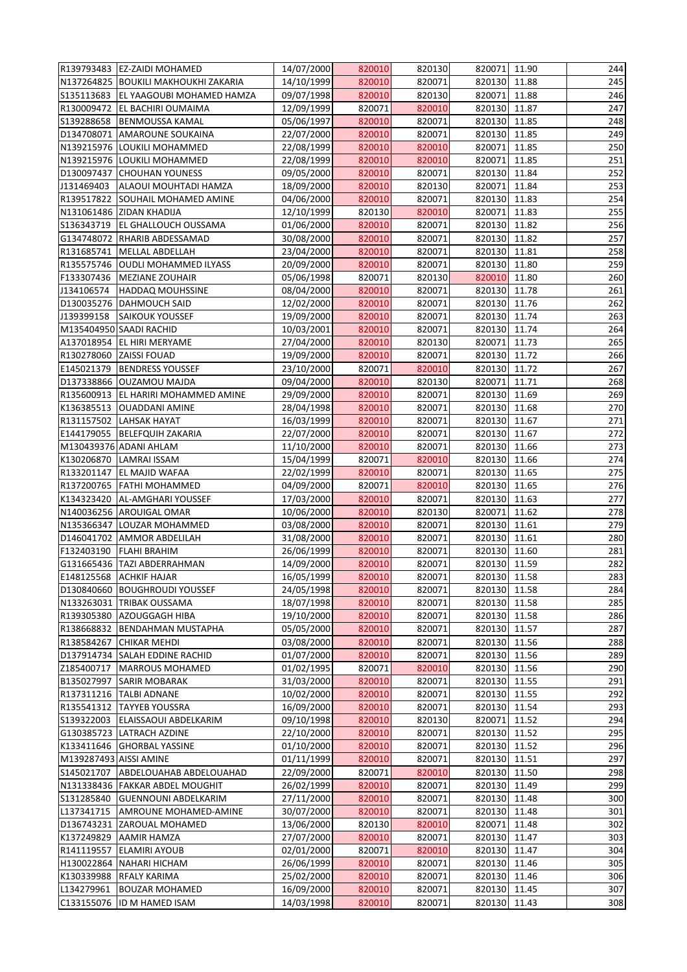|                        | R139793483 EZ-ZAIDI MOHAMED                                        | 14/07/2000               | 820010           | 820130           | 820071 11.90           |                | 244        |
|------------------------|--------------------------------------------------------------------|--------------------------|------------------|------------------|------------------------|----------------|------------|
|                        | N137264825 BOUKILI MAKHOUKHI ZAKARIA                               | 14/10/1999               | 820010           | 820071           | 820130 11.88           |                | 245        |
| S135113683             | <b>EL YAAGOUBI MOHAMED HAMZA</b>                                   | 09/07/1998               | 820010           | 820130           | 820071                 | 11.88          | 246        |
| R130009472             | <b>EL BACHIRI OUMAIMA</b>                                          | 12/09/1999               | 820071           | 820010           | 820130                 | 11.87          | 247        |
| S139288658             | <b>BENMOUSSA KAMAL</b>                                             | 05/06/1997               | 820010           | 820071           | 820130 11.85           |                | 248        |
|                        | D134708071 AMAROUNE SOUKAINA                                       | 22/07/2000               | 820010           | 820071           | 820130 11.85           |                | 249        |
|                        | N139215976 LOUKILI MOHAMMED                                        | 22/08/1999               | 820010           | 820010           | 820071                 | 11.85          | 250        |
|                        | N139215976 LOUKILI MOHAMMED                                        | 22/08/1999               | 820010           | 820010           | 820071                 | 11.85          | 251        |
| D130097437             | <b>CHOUHAN YOUNESS</b>                                             | 09/05/2000               | 820010           | 820071           | 820130 11.84           |                | 252        |
| J131469403             | ALAOUI MOUHTADI HAMZA                                              | 18/09/2000               | 820010           | 820130           | 820071 11.84           |                | 253        |
|                        | R139517822 SOUHAIL MOHAMED AMINE                                   | 04/06/2000               | 820010           | 820071           | 820130 11.83           |                | 254        |
|                        | N131061486 ZIDAN KHADIJA                                           | 12/10/1999               | 820130           | 820010           | 820071                 | 11.83          | 255        |
| S136343719             | <b>EL GHALLOUCH OUSSAMA</b>                                        | 01/06/2000               | 820010           | 820071           | 820130 11.82           |                | 256        |
|                        | G134748072 RHARIB ABDESSAMAD                                       | 30/08/2000               | 820010           | 820071           | 820130                 | 11.82          | 257        |
|                        | R131685741   MELLAL ABDELLAH                                       | 23/04/2000               | 820010           | 820071           | 820130 11.81           |                | 258        |
|                        | R135575746 OUDLI MOHAMMED ILYASS                                   | 20/09/2000               | 820010           | 820071           | 820130 11.80           |                | 259        |
|                        | F133307436   MEZIANE ZOUHAIR                                       | 05/06/1998               | 820071           | 820130           | 820010                 | 11.80          | 260        |
| J134106574             | <b>HADDAQ MOUHSSINE</b>                                            | 08/04/2000               | 820010           | 820071           | 820130 11.78           |                | 261        |
|                        | D130035276   DAHMOUCH SAID                                         | 12/02/2000               | 820010           | 820071           | 820130 11.76           |                | 262        |
| J139399158             | <b>SAIKOUK YOUSSEF</b>                                             | 19/09/2000               | 820010           | 820071           | 820130 11.74           |                | 263        |
|                        | M135404950 SAADI RACHID                                            | 10/03/2001               | 820010           | 820071           | 820130 11.74           |                | 264        |
|                        | A137018954 EL HIRI MERYAME                                         | 27/04/2000               | 820010           | 820130           | 820071 11.73           |                | 265        |
|                        | R130278060 ZAISSI FOUAD                                            | 19/09/2000               | 820010           | 820071           | 820130 11.72           |                | 266        |
| E145021379             | <b>BENDRESS YOUSSEF</b>                                            | 23/10/2000               | 820071           | 820010           | 820130 11.72           |                | 267        |
|                        | D137338866 OUZAMOU MAJDA                                           | 09/04/2000               | 820010           | 820130           | 820071                 | 11.71          | 268        |
|                        | R135600913  EL HARIRI MOHAMMED AMINE                               | 29/09/2000               | 820010           | 820071           | 820130 11.69           |                | 269        |
|                        | K136385513 OUADDANI AMINE                                          | 28/04/1998               | 820010           | 820071           | 820130                 | 11.68          | 270        |
|                        | R131157502 LAHSAK HAYAT                                            | 16/03/1999               | 820010           | 820071           | 820130 11.67           |                | 271        |
| E144179055             | <b>BELEFQUIH ZAKARIA</b>                                           | 22/07/2000               | 820010           | 820071           | 820130                 | 11.67          | 272        |
|                        | M130439376 ADANI AHLAM                                             | 11/10/2000               | 820010           | 820071           | 820130 11.66           |                | 273        |
|                        | K130206870 LAMRAI ISSAM                                            | 15/04/1999               | 820071           | 820010           | 820130 11.66           |                | 274        |
|                        | R133201147 EL MAJID WAFAA                                          | 22/02/1999               | 820010           | 820071           | 820130 11.65           |                | 275        |
|                        | R137200765   FATHI MOHAMMED                                        | 04/09/2000               | 820071           | 820010           | 820130 11.65           |                | 276        |
|                        | K134323420  AL-AMGHARI YOUSSEF                                     | 17/03/2000               | 820010           | 820071           | 820130 11.63           |                | 277        |
|                        | N140036256 AROUIGAL OMAR                                           | 10/06/2000               | 820010           | 820130           | 820071                 | 11.62          | 278        |
|                        | N135366347 LOUZAR MOHAMMED                                         | 03/08/2000               | 820010           | 820071           | 820130 11.61           |                | 279        |
|                        | D146041702 AMMOR ABDELILAH                                         | 31/08/2000               | 820010           | 820071           | 820130                 | 11.61          | 280        |
| F132403190             | <b>FLAHI BRAHIM</b>                                                | 26/06/1999               | 820010           | 820071           | 820130                 | 11.60          | 281        |
|                        | G131665436 TAZI ABDERRAHMAN                                        | 14/09/2000               | 820010           | 820071           | 820130 11.59           |                | 282        |
|                        | E148125568 ACHKIF HAJAR                                            | 16/05/1999               | 820010           | 820071           | 820130 11.58           |                | 283        |
| D130840660             | <b>BOUGHROUDI YOUSSEF</b>                                          | 24/05/1998               | 820010           | 820071           | 820130                 | 11.58          | 284        |
|                        | N133263031 TRIBAK OUSSAMA                                          | 18/07/1998               | 820010           | 820071           | 820130                 | 11.58          | 285        |
| R139305380             | <b>AZOUGGAGH HIBA</b>                                              | 19/10/2000               | 820010           | 820071           | 820130 11.58           |                | 286        |
|                        | R138668832 BENDAHMAN MUSTAPHA                                      | 05/05/2000               | 820010           | 820071           | 820130 11.57           |                | 287        |
| R138584267             | <b>CHIKAR MEHDI</b>                                                | 03/08/2000               | 820010           | 820071           | 820130                 | 11.56          | 288        |
|                        | D137914734 SALAH EDDINE RACHID                                     | 01/07/2000               | 820010           | 820071           | 820130 11.56           |                | 289        |
| Z185400717             | MARROUS MOHAMED                                                    | 01/02/1995               | 820071           | 820010           | 820130 11.56           |                | 290        |
| B135027997             | <b>SARIR MOBARAK</b>                                               | 31/03/2000               | 820010           | 820071           | 820130                 | 11.55          | 291        |
|                        | R137311216   TALBI ADNANE                                          | 10/02/2000               | 820010           | 820071           | 820130 11.55           |                | 292        |
|                        | R135541312   TAYYEB YOUSSRA                                        | 16/09/2000               | 820010           | 820071           | 820130                 | 11.54          | 293        |
|                        | S139322003 ELAISSAOUI ABDELKARIM                                   | 09/10/1998               | 820010           | 820130           | 820071                 | 11.52          | 294        |
|                        | G130385723 LATRACH AZDINE                                          | 22/10/2000               | 820010           | 820071           | 820130 11.52           |                | 295        |
|                        | K133411646 GHORBAL YASSINE                                         | 01/10/2000               | 820010           | 820071           | 820130                 | 11.52          | 296        |
| M139287493 AISSI AMINE | S145021707 ABDELOUAHAB ABDELOUAHAD                                 | 01/11/1999               | 820010<br>820071 | 820071           | 820130<br>820130       | 11.51<br>11.50 | 297<br>298 |
|                        |                                                                    | 22/09/2000               |                  | 820010           |                        |                |            |
|                        | N131338436 FAKKAR ABDEL MOUGHIT<br>S131285840 GUENNOUNI ABDELKARIM | 26/02/1999<br>27/11/2000 | 820010<br>820010 | 820071<br>820071 | 820130<br>820130 11.48 | 11.49          | 299<br>300 |
|                        |                                                                    |                          |                  | 820071           |                        | 11.48          |            |
| L137341715             | <b>AMROUNE MOHAMED-AMINE</b>                                       | 30/07/2000               | 820010           |                  | 820130                 |                | 301        |
|                        | D136743231 ZAROUAL MOHAMED                                         | 13/06/2000               | 820130           | 820010           | 820071                 | 11.48          | 302        |
| K137249829             | <b>AAMIR HAMZA</b>                                                 | 27/07/2000               | 820010<br>820071 | 820071           | 820130<br>820130       | 11.47<br>11.47 | 303<br>304 |
|                        | R141119557 ELAMIRI AYOUB<br>H130022864 NAHARI HICHAM               | 02/01/2000<br>26/06/1999 | 820010           | 820010<br>820071 | 820130 11.46           |                | 305        |
|                        | K130339988 RFALY KARIMA                                            | 25/02/2000               | 820010           | 820071           | 820130 11.46           |                | 306        |
| L134279961             | <b>BOUZAR MOHAMED</b>                                              | 16/09/2000               | 820010           | 820071           |                        | 11.45          | 307        |
| C133155076             | <b>ID M HAMED ISAM</b>                                             | 14/03/1998               | 820010           | 820071           | 820130<br>820130       | 11.43          | 308        |
|                        |                                                                    |                          |                  |                  |                        |                |            |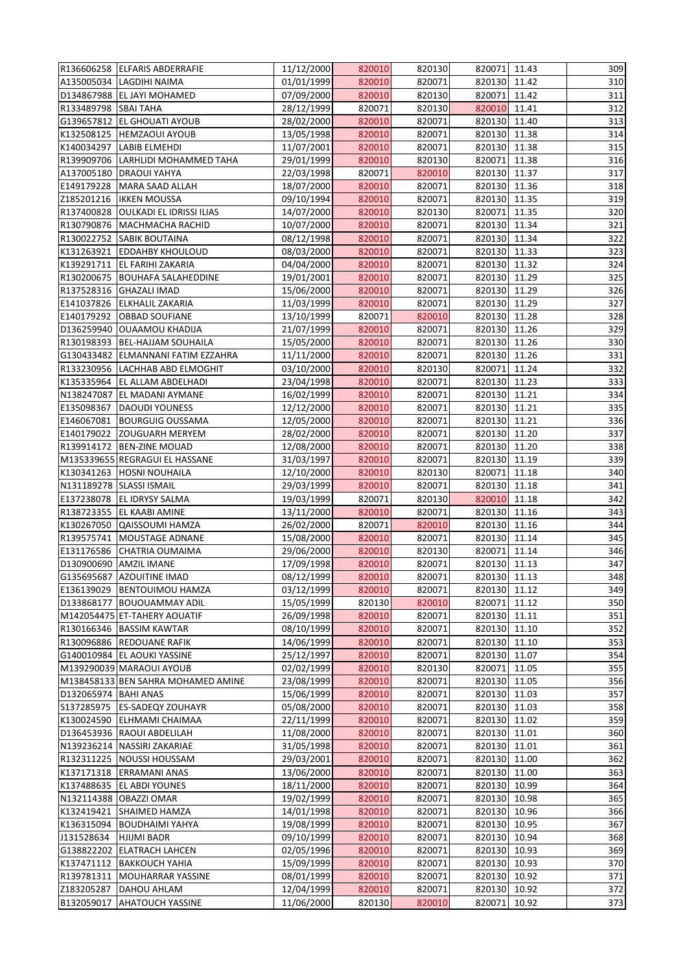|                        | R136606258 ELFARIS ABDERRAFIE      | 11/12/2000 | 820010 | 820130 | 820071 11.43 |       | 309 |
|------------------------|------------------------------------|------------|--------|--------|--------------|-------|-----|
|                        | A135005034 LAGDIHI NAIMA           | 01/01/1999 | 820010 | 820071 | 820130 11.42 |       | 310 |
|                        | D134867988 EL JAYI MOHAMED         | 07/09/2000 | 820010 | 820130 | 820071       | 11.42 | 311 |
| R133489798 SBAI TAHA   |                                    | 28/12/1999 | 820071 | 820130 | 820010       | 11.41 | 312 |
|                        | G139657812 EL GHOUATI AYOUB        | 28/02/2000 | 820010 | 820071 | 820130 11.40 |       | 313 |
|                        | K132508125  HEMZAOUI AYOUB         | 13/05/1998 | 820010 | 820071 | 820130       | 11.38 | 314 |
| K140034297             | <b>LABIB ELMEHDI</b>               | 11/07/2001 | 820010 | 820071 | 820130       | 11.38 | 315 |
|                        | R139909706 LARHLIDI MOHAMMED TAHA  | 29/01/1999 | 820010 | 820130 | 820071       | 11.38 | 316 |
| A137005180             | <b>DRAOUI YAHYA</b>                | 22/03/1998 | 820071 | 820010 | 820130 11.37 |       | 317 |
| E149179228             | MARA SAAD ALLAH                    | 18/07/2000 | 820010 | 820071 | 820130 11.36 |       | 318 |
|                        | Z185201216   IKKEN MOUSSA          | 09/10/1994 | 820010 | 820071 | 820130 11.35 |       | 319 |
| R137400828             | <b>OULKADI EL IDRISSI ILIAS</b>    | 14/07/2000 | 820010 | 820130 | 820071       | 11.35 | 320 |
|                        | R130790876   MACHMACHA RACHID      | 10/07/2000 | 820010 | 820071 | 820130 11.34 |       | 321 |
| R130022752             | <b>SABIK BOUTAINA</b>              | 08/12/1998 | 820010 | 820071 | 820130       | 11.34 | 322 |
| K131263921             | <b>EDDAHBY KHOULOUD</b>            | 08/03/2000 | 820010 | 820071 | 820130 11.33 |       | 323 |
| K139291711             | <b>EL FARIHI ZAKARIA</b>           | 04/04/2000 | 820010 | 820071 | 820130       | 11.32 | 324 |
| R130200675             | <b>BOUHAFA SALAHEDDINE</b>         | 19/01/2001 | 820010 | 820071 | 820130 11.29 |       | 325 |
|                        | R137528316 GHAZALI IMAD            | 15/06/2000 | 820010 | 820071 | 820130 11.29 |       | 326 |
| E141037826             | <b>ELKHALIL ZAKARIA</b>            | 11/03/1999 | 820010 | 820071 | 820130       | 11.29 | 327 |
| E140179292             | <b>OBBAD SOUFIANE</b>              | 13/10/1999 | 820071 | 820010 | 820130 11.28 |       | 328 |
| D136259940             | <b>OUAAMOU KHADIJA</b>             | 21/07/1999 | 820010 | 820071 | 820130       | 11.26 | 329 |
| R130198393             | <b>BEL-HAJJAM SOUHAILA</b>         | 15/05/2000 | 820010 | 820071 | 820130 11.26 |       | 330 |
|                        | G130433482 ELMANNANI FATIM EZZAHRA | 11/11/2000 | 820010 | 820071 | 820130 11.26 |       | 331 |
|                        | R133230956  LACHHAB ABD ELMOGHIT   | 03/10/2000 | 820010 | 820130 | 820071       | 11.24 | 332 |
| K135335964             | <b>EL ALLAM ABDELHADI</b>          | 23/04/1998 | 820010 | 820071 | 820130       | 11.23 | 333 |
| N138247087             | <b>EL MADANI AYMANE</b>            | 16/02/1999 | 820010 | 820071 | 820130 11.21 |       | 334 |
| E135098367             | DAOUDI YOUNESS                     | 12/12/2000 | 820010 | 820071 | 820130       | 11.21 | 335 |
| E146067081             | <b>BOURGUIG OUSSAMA</b>            | 12/05/2000 | 820010 | 820071 | 820130       | 11.21 | 336 |
| E140179022             | <b>ZOUGUARH MERYEM</b>             | 28/02/2000 | 820010 | 820071 | 820130       | 11.20 | 337 |
|                        | R139914172   BEN-ZINE MOUAD        | 12/08/2000 | 820010 | 820071 | 820130 11.20 |       | 338 |
|                        | M135339655 REGRAGUI EL HASSANE     | 31/03/1997 | 820010 | 820071 | 820130 11.19 |       | 339 |
|                        | K130341263 HOSNI NOUHAILA          | 12/10/2000 | 820010 | 820130 | 820071 11.18 |       | 340 |
|                        | N131189278 SLASSI ISMAIL           | 29/03/1999 | 820010 | 820071 | 820130 11.18 |       | 341 |
|                        | E137238078  EL IDRYSY SALMA        | 19/03/1999 | 820071 | 820130 | 820010       | 11.18 | 342 |
|                        | R138723355 EL KAABI AMINE          | 13/11/2000 | 820010 | 820071 | 820130       | 11.16 | 343 |
| K130267050             | QAISSOUMI HAMZA                    | 26/02/2000 | 820071 | 820010 | 820130       | 11.16 | 344 |
| R139575741             | MOUSTAGE ADNANE                    | 15/08/2000 | 820010 | 820071 | 820130       | 11.14 | 345 |
| E131176586             | <b>CHATRIA OUMAIMA</b>             | 29/06/2000 | 820010 | 820130 | 820071       | 11.14 | 346 |
| D130900690             | <b>AMZIL IMANE</b>                 | 17/09/1998 | 820010 | 820071 | 820130       | 11.13 | 347 |
|                        | G135695687 AZOUITINE IMAD          | 08/12/1999 | 820010 | 820071 | 820130       | 11.13 | 348 |
| E136139029             | <b>BENTOUIMOU HAMZA</b>            | 03/12/1999 | 820010 | 820071 | 820130       | 11.12 | 349 |
| D133868177             | <b>BOUOUAMMAY ADIL</b>             | 15/05/1999 | 820130 | 820010 | 820071       | 11.12 | 350 |
|                        | M142054475 ET-TAHERY AOUATIF       | 26/09/1998 | 820010 | 820071 | 820130       | 11.11 | 351 |
|                        | R130166346 BASSIM KAWTAR           | 08/10/1999 | 820010 | 820071 | 820130 11.10 |       | 352 |
|                        | R130096886 REDOUANE RAFIK          | 14/06/1999 | 820010 | 820071 | 820130       | 11.10 | 353 |
|                        | G140010984 EL AOUKI YASSINE        | 25/12/1997 | 820010 | 820071 | 820130       | 11.07 | 354 |
|                        | M139290039 MARAOUI AYOUB           | 02/02/1999 | 820010 | 820130 | 820071       | 11.05 | 355 |
|                        | M138458133 BEN SAHRA MOHAMED AMINE | 23/08/1999 | 820010 | 820071 | 820130       | 11.05 | 356 |
| D132065974   BAHI ANAS |                                    | 15/06/1999 | 820010 | 820071 | 820130       | 11.03 | 357 |
| S137285975             | <b>ES-SADEQY ZOUHAYR</b>           | 05/08/2000 | 820010 | 820071 | 820130       | 11.03 | 358 |
|                        | K130024590 ELHMAMI CHAIMAA         | 22/11/1999 | 820010 | 820071 | 820130       | 11.02 | 359 |
|                        | D136453936 RAOUI ABDELILAH         | 11/08/2000 | 820010 | 820071 | 820130 11.01 |       | 360 |
|                        | N139236214 NASSIRI ZAKARIAE        | 31/05/1998 | 820010 | 820071 | 820130       | 11.01 | 361 |
| R132311225             | NOUSSI HOUSSAM                     | 29/03/2001 | 820010 | 820071 | 820130       | 11.00 | 362 |
|                        | K137171318 ERRAMANI ANAS           | 13/06/2000 | 820010 | 820071 | 820130       | 11.00 | 363 |
| K137488635             | <b>EL ABDI YOUNES</b>              | 18/11/2000 | 820010 | 820071 | 820130       | 10.99 | 364 |
|                        | N132114388 OBAZZI OMAR             | 19/02/1999 | 820010 | 820071 | 820130       | 10.98 | 365 |
| K132419421             | <b>SHAIMED HAMZA</b>               | 14/01/1998 | 820010 | 820071 | 820130       | 10.96 | 366 |
| K136315094             | <b>BOUDHAIMI YAHYA</b>             | 19/08/1999 | 820010 | 820071 | 820130       | 10.95 | 367 |
| J131528634             | <b>HJIJMI BADR</b>                 | 09/10/1999 | 820010 | 820071 | 820130       | 10.94 | 368 |
| G138822202             | <b>ELATRACH LAHCEN</b>             | 02/05/1996 | 820010 | 820071 | 820130       | 10.93 | 369 |
| K137471112             | <b>BAKKOUCH YAHIA</b>              | 15/09/1999 | 820010 | 820071 | 820130       | 10.93 | 370 |
|                        | R139781311   MOUHARRAR YASSINE     | 08/01/1999 | 820010 | 820071 | 820130 10.92 |       | 371 |
| Z183205287             | <b>DAHOU AHLAM</b>                 | 12/04/1999 | 820010 | 820071 | 820130       | 10.92 | 372 |
| B132059017             | <b>AHATOUCH YASSINE</b>            | 11/06/2000 | 820130 | 820010 | 820071       | 10.92 | 373 |